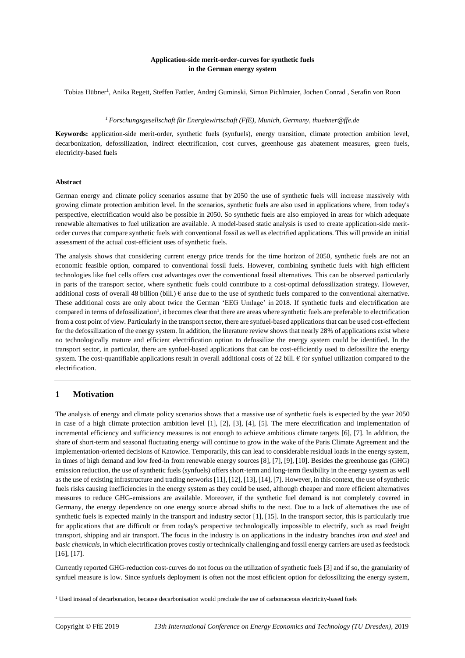### **Application-side merit-order-curves for synthetic fuels in the German energy system**

Tobias Hübner<sup>1</sup>, Anika Regett, Steffen Fattler, Andrej Guminski, Simon Pichlmaier, Jochen Conrad, Serafin von Roon

#### *<sup>1</sup>Forschungsgesellschaft für Energiewirtschaft (FfE), Munich, Germany, thuebner@ffe.de*

**Keywords:** application-side merit-order, synthetic fuels (synfuels), energy transition, climate protection ambition level, decarbonization, defossilization, indirect electrification, cost curves, greenhouse gas abatement measures, green fuels, electricity-based fuels

#### **Abstract**

German energy and climate policy scenarios assume that by 2050 the use of synthetic fuels will increase massively with growing climate protection ambition level. In the scenarios, synthetic fuels are also used in applications where, from today's perspective, electrification would also be possible in 2050. So synthetic fuels are also employed in areas for which adequate renewable alternatives to fuel utilization are available. A model-based static analysis is used to create application-side meritorder curves that compare synthetic fuels with conventional fossil as well as electrified applications. This will provide an initial assessment of the actual cost-efficient uses of synthetic fuels.

The analysis shows that considering current energy price trends for the time horizon of 2050, synthetic fuels are not an economic feasible option, compared to conventional fossil fuels. However, combining synthetic fuels with high efficient technologies like fuel cells offers cost advantages over the conventional fossil alternatives. This can be observed particularly in parts of the transport sector, where synthetic fuels could contribute to a cost-optimal defossilization strategy. However, additional costs of overall 48 billion (bill.)  $\epsilon$  arise due to the use of synthetic fuels compared to the conventional alternative. These additional costs are only about twice the German 'EEG Umlage' in 2018. If synthetic fuels and electrification are compared in terms of defossilization<sup>1</sup>, it becomes clear that there are areas where synthetic fuels are preferable to electrification from a cost point of view. Particularly in the transport sector, there are synfuel-based applications that can be used cost-effecient for the defossilization of the energy system. In addition, the literature review shows that nearly 28% of applications exist where no technologically mature and efficient electrification option to defossilize the energy system could be identified. In the transport sector, in particular, there are synfuel-based applications that can be cost-efficiently used to defossilize the energy system. The cost-quantifiable applications result in overall additional costs of 22 bill.  $\epsilon$  for synfuel utilization compared to the electrification.

# **1 Motivation**

The analysis of energy and climate policy scenarios shows that a massive use of synthetic fuels is expected by the year 2050 in case of a high climate protection ambition level [1], [2], [3], [4], [5]. The mere electrification and implementation of incremental efficiency and sufficiency measures is not enough to achieve ambitious climate targets [6], [7]. In addition, the share of short-term and seasonal fluctuating energy will continue to grow in the wake of the Paris Climate Agreement and the implementation-oriented decisions of Katowice. Temporarily, this can lead to considerable residual loads in the energy system, in times of high demand and low feed-in from renewable energy sources [8], [7], [9], [10]. Besides the greenhouse gas (GHG) emission reduction, the use of synthetic fuels (synfuels) offers short-term and long-term flexibility in the energy system as well as the use of existing infrastructure and trading networks [11], [12], [13], [14], [7]. However, in this context, the use of synthetic fuels risks causing inefficiencies in the energy system as they could be used, although cheaper and more efficient alternatives measures to reduce GHG-emissions are available. Moreover, if the synthetic fuel demand is not completely covered in Germany, the energy dependence on one energy source abroad shifts to the next. Due to a lack of alternatives the use of synthetic fuels is expected mainly in the transport and industry sector [1], [15]. In the transport sector, this is particularly true for applications that are difficult or from today's perspective technologically impossible to electrify, such as road freight transport, shipping and air transport. The focus in the industry is on applications in the industry branches *iron and steel* and *basic chemicals*, in which electrification proves costly or technically challenging and fossil energy carriers are used as feedstock [16], [17].

Currently reported GHG-reduction cost-curves do not focus on the utilization of synthetic fuels [3] and if so, the granularity of synfuel measure is low. Since synfuels deployment is often not the most efficient option for defossilizing the energy system,

<sup>&</sup>lt;sup>1</sup> Used instead of decarbonation, because decarbonisation would preclude the use of carbonaceous electricity-based fuels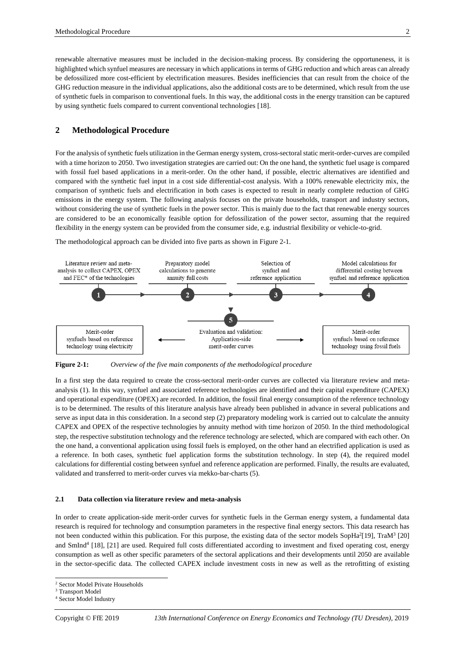renewable alternative measures must be included in the decision-making process. By considering the opportuneness, it is highlighted which synfuel measures are necessary in which applications in terms of GHG reduction and which areas can already be defossilized more cost-efficient by electrification measures. Besides inefficiencies that can result from the choice of the GHG reduction measure in the individual applications, also the additional costs are to be determined, which result from the use of synthetic fuels in comparison to conventional fuels. In this way, the additional costs in the energy transition can be captured by using synthetic fuels compared to current conventional technologies [18].

# **2 Methodological Procedure**

For the analysis of synthetic fuels utilization in the German energy system, cross-sectoral static merit-order-curves are compiled with a time horizon to 2050. Two investigation strategies are carried out: On the one hand, the synthetic fuel usage is compared with fossil fuel based applications in a merit-order. On the other hand, if possible, electric alternatives are identified and compared with the synthetic fuel input in a cost side differential-cost analysis. With a 100% renewable electricity mix, the comparison of synthetic fuels and electrification in both cases is expected to result in nearly complete reduction of GHG emissions in the energy system. The following analysis focuses on the private households, transport and industry sectors, without considering the use of synthetic fuels in the power sector. This is mainly due to the fact that renewable energy sources are considered to be an economically feasible option for defossilization of the power sector, assuming that the required flexibility in the energy system can be provided from the consumer side, e.g. industrial flexibility or vehicle-to-grid.

The methodological approach can be divided into five parts as shown i[n Figure](#page-1-0) 2-1.



<span id="page-1-0"></span>**Figure 2-1:** *Overview of the five main components of the methodological procedure*

In a first step the data required to create the cross-sectoral merit-order curves are collected via literature review and metaanalysis (1). In this way, synfuel and associated reference technologies are identified and their capital expenditure (CAPEX) and operational expenditure (OPEX) are recorded. In addition, the fossil final energy consumption of the reference technology is to be determined. The results of this literature analysis have already been published in advance in several publications and serve as input data in this consideration. In a second step (2) preparatory modeling work is carried out to calculate the annuity CAPEX and OPEX of the respective technologies by annuity method with time horizon of 2050. In the third methodological step, the respective substitution technology and the reference technology are selected, which are compared with each other. On the one hand, a conventional application using fossil fuels is employed, on the other hand an electrified application is used as a reference. In both cases, synthetic fuel application forms the substitution technology. In step (4), the required model calculations for differential costing between synfuel and reference application are performed. Finally, the results are evaluated, validated and transferred to merit-order curves via mekko-bar-charts (5).

#### **2.1 Data collection via literature review and meta-analysis**

In order to create application-side merit-order curves for synthetic fuels in the German energy system, a fundamental data research is required for technology and consumption parameters in the respective final energy sectors. This data research has not been conducted within this publication. For this purpose, the existing data of the sector models  $\text{SopHa}^2[19]$ , TraM<sup>3</sup> [20] and SmInd<sup>4</sup> [18], [21] are used. Required full costs differentiated according to investment and fixed operating cost, energy consumption as well as other specific parameters of the sectoral applications and their developments until 2050 are available in the sector-specific data. The collected CAPEX include investment costs in new as well as the retrofitting of existing

<sup>2</sup> Sector Model Private Households

<sup>&</sup>lt;sup>3</sup> Transport Model

<sup>4</sup> Sector Model Industry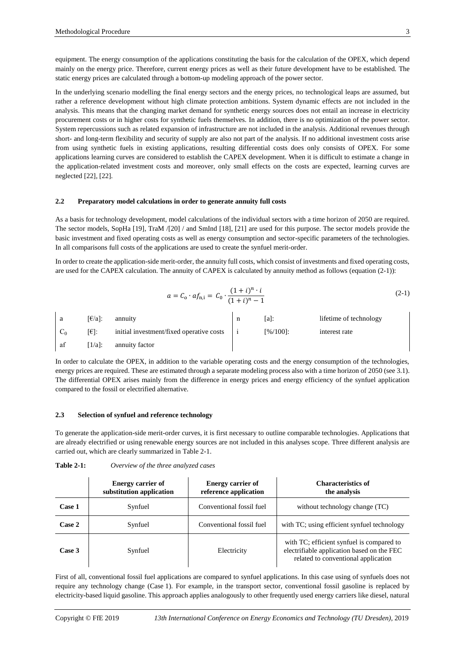equipment. The energy consumption of the applications constituting the basis for the calculation of the OPEX, which depend mainly on the energy price. Therefore, current energy prices as well as their future development have to be established. The static energy prices are calculated through a bottom-up modeling approach of the power sector.

In the underlying scenario modelling the final energy sectors and the energy prices, no technological leaps are assumed, but rather a reference development without high climate protection ambitions. System dynamic effects are not included in the analysis. This means that the changing market demand for synthetic energy sources does not entail an increase in electricity procurement costs or in higher costs for synthetic fuels themselves. In addition, there is no optimization of the power sector. System repercussions such as related expansion of infrastructure are not included in the analysis. Additional revenues through short- and long-term flexibility and security of supply are also not part of the analysis. If no additional investment costs arise from using synthetic fuels in existing applications, resulting differential costs does only consists of OPEX. For some applications learning curves are considered to establish the CAPEX development. When it is difficult to estimate a change in the application-related investment costs and moreover, only small effects on the costs are expected, learning curves are neglected [22], [22].

#### **2.2 Preparatory model calculations in order to generate annuity full costs**

As a basis for technology development, model calculations of the individual sectors with a time horizon of 2050 are required. The sector models, SopHa [19], TraM /[20] / and SmInd [18], [21] are used for this purpose. The sector models provide the basic investment and fixed operating costs as well as energy consumption and sector-specific parameters of the technologies. In all comparisons full costs of the applications are used to create the synfuel merit-order.

In order to create the application-side merit-order, the annuity full costs, which consist of investments and fixed operating costs, are used for the CAPEX calculation. The annuity of CAPEX is calculated by annuity method as follows (equation [\(2-1\)](#page-2-0)):

<span id="page-2-0"></span>
$$
a = C_0 \cdot af_{n,i} = C_0 \cdot \frac{(1+i)^n \cdot i}{(1+i)^n - 1} \tag{2-1}
$$

| a     | $E{a}$ :              | annuity                                  | al:           | lifetime of technology |
|-------|-----------------------|------------------------------------------|---------------|------------------------|
| $C_0$ | $[6]$ :               | initial investment/fixed operative costs | $[% / 100]$ : | interest rate          |
| af    | $\lceil 1/a \rceil$ : | annuity factor                           |               |                        |

In order to calculate the OPEX, in addition to the variable operating costs and the energy consumption of the technologies, energy prices are required. These are estimated through a separate modeling process also with a time horizon of 2050 (see 3.1). The differential OPEX arises mainly from the difference in energy prices and energy efficiency of the synfuel application compared to the fossil or electrified alternative.

#### <span id="page-2-2"></span>**2.3 Selection of synfuel and reference technology**

To generate the application-side merit-order curves, it is first necessary to outline comparable technologies. Applications that are already electrified or using renewable energy sources are not included in this analyses scope. Three different analysis are carried out, which are clearly summarized in [Table](#page-2-1) 2-1.

<span id="page-2-1"></span>

| <b>Table 2-1:</b> | Overview of the three analyzed cases |  |  |  |  |
|-------------------|--------------------------------------|--|--|--|--|
|-------------------|--------------------------------------|--|--|--|--|

|        | <b>Energy carrier of</b><br>substitution application | <b>Energy carrier of</b><br>reference application | <b>Characteristics of</b><br>the analysis                                                                                      |
|--------|------------------------------------------------------|---------------------------------------------------|--------------------------------------------------------------------------------------------------------------------------------|
| Case 1 | Synfuel                                              | Conventional fossil fuel                          | without technology change (TC)                                                                                                 |
| Case 2 | Synfuel                                              | Conventional fossil fuel                          | with TC; using efficient synfuel technology                                                                                    |
| Case 3 | Synfuel                                              | Electricity                                       | with TC; efficient synfuel is compared to<br>electrifiable application based on the FEC<br>related to conventional application |

First of all, conventional fossil fuel applications are compared to synfuel applications. In this case using of synfuels does not require any technology change (Case 1). For example, in the transport sector, conventional fossil gasoline is replaced by electricity-based liquid gasoline. This approach applies analogously to other frequently used energy carriers like diesel, natural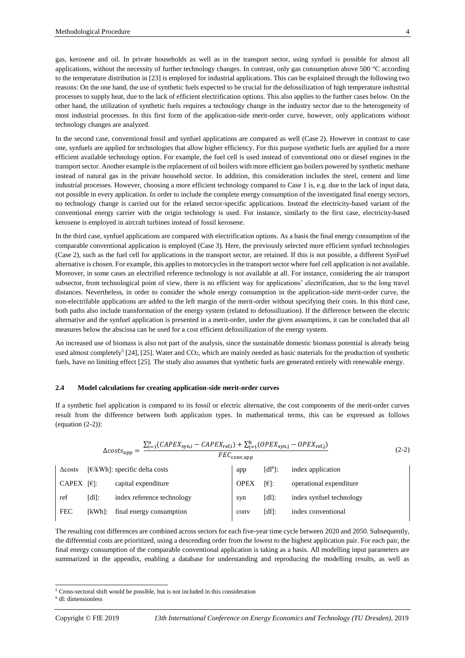gas, kerosene and oil. In private households as well as in the transport sector, using synfuel is possible for almost all applications, without the necessity of further technology changes. In contrast, only gas consumption above 500 °C according to the temperature distribution in [23] is employed for industrial applications. This can be explained through the following two reasons: On the one hand, the use of synthetic fuels expected to be crucial for the defossilization of high temperature industrial processes to supply heat, due to the lack of efficient electrification options. This also applies to the further cases below. On the other hand, the utilization of synthetic fuels requires a technology change in the industry sector due to the heterogeneity of most industrial processes. In this first form of the application-side merit-order curve, however, only applications without technology changes are analyzed.

In the second case, conventional fossil and synfuel applications are compared as well (Case 2). However in contrast to case one, synfuels are applied for technologies that allow higher efficiency. For this purpose synthetic fuels are applied for a more efficient available technology option. For example, the fuel cell is used instead of conventional otto or diesel engines in the transport sector. Another example is the replacement of oil boilers with more efficient gas boilers powered by synthetic methane instead of natural gas in the private household sector. In addition, this consideration includes the steel, cement and lime industrial processes. However, choosing a more efficient technology compared to Case 1 is, e.g. due to the lack of input data, not possible in every application. In order to include the complete energy consumption of the investigated final energy sectors, no technology change is carried out for the related sector-specific applications. Instead the electricity-based variant of the conventional energy carrier with the origin technology is used. For instance, similarly to the first case, electricity-based kerosene is employed in aircraft turbines instead of fossil kerosene.

In the third case, synfuel applications are compared with electrification options. As a basis the final energy consumption of the comparable conventional application is employed (Case 3). Here, the previously selected more efficient synfuel technologies (Case 2), such as the fuel cell for applications in the transport sector, are retained. If this is not possible, a different SynFuel alternative is chosen. For example, this applies to motorcycles in the transport sector where fuel cell application is not available. Moreover, in some cases an electrified reference technology is not available at all. For instance, considering the air transport subsector, from technological point of view, there is no efficient way for applications' electrification, due to the long travel distances. Nevertheless, in order to consider the whole energy consumption in the application-side merit-order curve, the non-electrifable applications are added to the left margin of the merit-order without specifying their costs. In this third case, both paths also include transformation of the energy system (related to defossilization). If the difference between the electric alternative and the synfuel application is presented in a merit-order, under the given assumptions, it can be concluded that all measures below the abscissa can be used for a cost efficient defossilization of the energy system.

An increased use of biomass is also not part of the analysis, since the sustainable domestic biomass potential is already being used almost completely<sup>5</sup> [24], [25]. Water and CO<sub>2</sub>, which are mainly needed as basic materials for the production of synthetic fuels, have no limiting effect [25]. The study also assumes that synthetic fuels are generated entirely with renewable energy.

#### **2.4 Model calculations for creating application-side merit-order curves**

If a synthetic fuel application is compared to its fossil or electric alternative, the cost components of the merit-order curves result from the difference between both application types. In mathematical terms, this can be expressed as follows (equation  $(2-2)$ ):

<span id="page-3-0"></span>
$$
\Delta costs_{app} = \frac{\sum_{i=1}^{n} (CAPEX_{syn,i} - CAPEX_{ref,i}) + \sum_{j=1}^{k} (OPEX_{syn,j} - OPEX_{ref,j})}{FEC_{conv,app}}
$$
\n(2-2)  
\n
$$
\Delta costs \quad [\text{E}]\text{:} \quad \text{specific delta costs}
$$
\n
$$
CAPEX \quad [\text{E}]\text{:} \quad \text{index application}
$$
\n
$$
FEC \quad [\text{d}]\text{:} \quad \text{index amplitude}
$$
\n
$$
FEC \quad [\text{kWh}]\text{:} \quad \text{final energy consumption}
$$
\n
$$
FEC \quad [\text{kWh}]\text{:} \quad \text{final energy consumption}
$$
\n
$$
[dl]\text{:} \quad \text{index synchronized } \text{total volume}
$$
\n
$$
[dl]\text{:} \quad \text{index conventional}
$$
\n
$$
[dl]\text{:} \quad \text{index conventional}
$$
\n
$$
[dl]\text{:} \quad \text{index conventional}
$$

The resulting cost differences are combined across sectors for each five-year time cycle between 2020 and 2050. Subsequently, the differential costs are prioritized, using a descending order from the lowest to the highest application pair. For each pair, the final energy consumption of the comparable conventional application is taking as a basis. All modelling input parameters are summarized in the appendix, enabling a database for understanding and reproducing the modelling results, as well as

l

<sup>5</sup> Cross-sectoral shift would be possible, but is not included in this consideration

<sup>6</sup> dl: dimensionless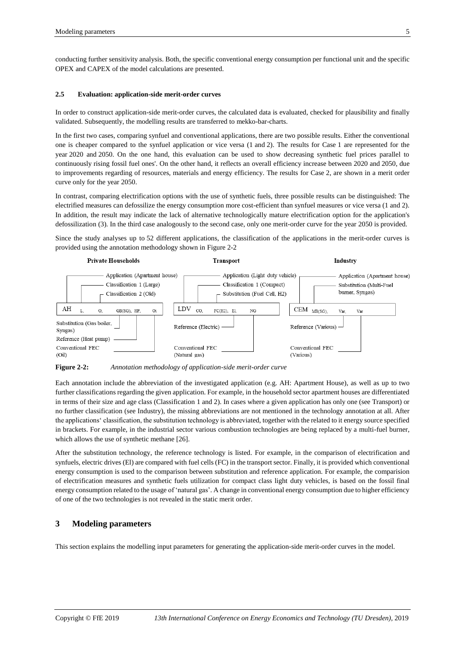conducting further sensitivity analysis. Both, the specific conventional energy consumption per functional unit and the specific OPEX and CAPEX of the model calculations are presented.

#### **2.5 Evaluation: application-side merit-order curves**

In order to construct application-side merit-order curves, the calculated data is evaluated, checked for plausibility and finally validated. Subsequently, the modelling results are transferred to mekko-bar-charts.

In the first two cases, comparing synfuel and conventional applications, there are two possible results. Either the conventional one is cheaper compared to the synfuel application or vice versa (1 and 2). The results for Case 1 are represented for the year 2020 and 2050. On the one hand, this evaluation can be used to show decreasing synthetic fuel prices parallel to continuously rising fossil fuel ones'. On the other hand, it reflects an overall efficiency increase between 2020 and 2050, due to improvements regarding of resources, materials and energy efficiency. The results for Case 2, are shown in a merit order curve only for the year 2050.

In contrast, comparing electrification options with the use of synthetic fuels, three possible results can be distinguished: The electrified measures can defossilize the energy consumption more cost-efficient than synfuel measures or vice versa (1 and 2). In addition, the result may indicate the lack of alternative technologically mature electrification option for the application's defossilization (3). In the third case analogously to the second case, only one merit-order curve for the year 2050 is provided.

Since the study analyses up to 52 different applications, the classification of the applications in the merit-order curves is provided using the annotation methodology shown in [Figure](#page-4-0) 2-2



<span id="page-4-0"></span>**Figure 2-2:** *Annotation methodology of application-side merit-order curve*

Each annotation include the abbreviation of the investigated application (e.g. AH: Apartment House), as well as up to two further classifications regarding the given application. For example, in the household sector apartment houses are differentiated in terms of their size and age class (Classification 1 and 2). In cases where a given application has only one (see Transport) or no further classification (see Industry), the missing abbreviations are not mentioned in the technology annotation at all. After the applications' classification, the substitution technology is abbreviated, together with the related to it energy source specified in brackets. For example, in the industrial sector various combustion technologies are being replaced by a multi-fuel burner, which allows the use of synthetic methane [26].

After the substitution technology, the reference technology is listed. For example, in the comparison of electrification and synfuels, electric drives (El) are compared with fuel cells (FC) in the transport sector. Finally, it is provided which conventional energy consumption is used to the comparison between substitution and reference application. For example, the comparision of electrification measures and synthetic fuels utilization for compact class light duty vehicles, is based on the fossil final energy consumption related to the usage of 'natural gas'. A change in conventional energy consumption due to higher efficiency of one of the two technologies is not revealed in the static merit order.

# **3 Modeling parameters**

This section explains the modelling input parameters for generating the application-side merit-order curves in the model.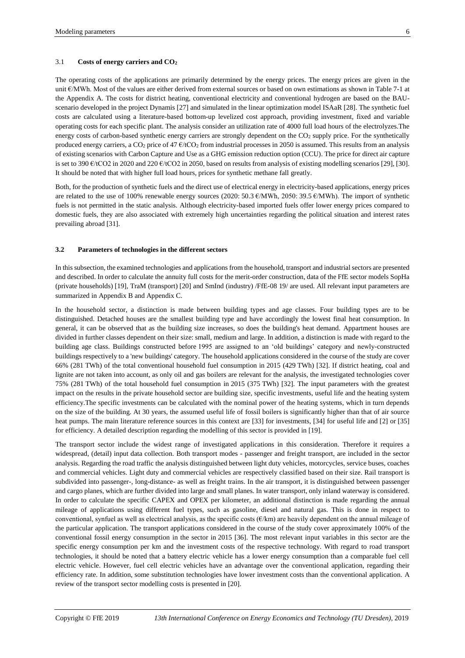#### 3.1 **Costs of energy carriers and CO<sup>2</sup>**

The operating costs of the applications are primarily determined by the energy prices. The energy prices are given in the unit €/MWh. Most of the values are either derived from external sources or based on own estimations as shown i[n Table](#page-15-0) 7-1 at the Appendix A. The costs for district heating, conventional electricity and conventional hydrogen are based on the BAUscenario developed in the project Dynamis [27] and simulated in the linear optimization model ISAaR [28]. The synthetic fuel costs are calculated using a literature-based bottom-up levelized cost approach, providing investment, fixed and variable operating costs for each specific plant. The analysis consider an utilization rate of 4000 full load hours of the electrolyzes.The energy costs of carbon-based synthetic energy carriers are strongly dependent on the CO2 supply price. For the synthetically produced energy carriers, a  $CO<sub>2</sub>$  price of 47  $\epsilon$ /tCO<sub>2</sub> from industrial processes in 2050 is assumed. This results from an analysis of existing scenarios with Carbon Capture and Use as a GHG emission reduction option (CCU). The price for direct air capture is set to 390  $\epsilon$ /tCO2 in 2020 and 220  $\epsilon$ /tCO2 in 2050, based on results from analysis of existing modelling scenarios [29], [30]. It should be noted that with higher full load hours, prices for synthetic methane fall greatly.

Both, for the production of synthetic fuels and the direct use of electrical energy in electricity-based applications, energy prices are related to the use of 100% renewable energy sources (2020: 50.3 €/MWh, 2050: 39.5 €/MWh). The import of synthetic fuels is not permitted in the static analysis. Although electricity-based imported fuels offer lower energy prices compared to domestic fuels, they are also associated with extremely high uncertainties regarding the political situation and interest rates prevailing abroad [31].

#### **3.2 Parameters of technologies in the different sectors**

In this subsection, the examined technologies and applications from the household, transport and industrial sectors are presented and described. In order to calculate the annuity full costs for the merit-order construction, data of the FfE sector models SopHa (private households) [19], TraM (transport) [20] and SmInd (industry) /FfE-08 19/ are used. All relevant input parameters are summarized in Appendix B and Appendix C.

In the household sector, a distinction is made between building types and age classes. Four building types are to be distinguished. Detached houses are the smallest building type and have accordingly the lowest final heat consumption. In general, it can be observed that as the building size increases, so does the building's heat demand. Appartment houses are divided in further classes dependent on their size: small, medium and large. In addition, a distinction is made with regard to the building age class. Buildings constructed before 1995 are assigned to an 'old buildings' category and newly-constructed buildings respectively to a 'new buildings' category. The household applications considered in the course of the study are cover 66% (281 TWh) of the total conventional household fuel consumption in 2015 (429 TWh) [32]. If district heating, coal and lignite are not taken into account, as only oil and gas boilers are relevant for the analysis, the investigated technologies cover 75% (281 TWh) of the total household fuel consumption in 2015 (375 TWh) [32]. The input parameters with the greatest impact on the results in the private household sector are building size, specific investments, useful life and the heating system efficiency.The specific investments can be calculated with the nominal power of the heating systems, which in turn depends on the size of the building. At 30 years, the assumed useful life of fossil boilers is significantly higher than that of air source heat pumps. The main literature reference sources in this context are [33] for investments, [34] for useful life and [2] or [35] for efficiency. A detailed description regarding the modelling of this sector is provided in [19].

The transport sector include the widest range of investigated applications in this consideration. Therefore it requires a widespread, (detail) input data collection. Both transport modes - passenger and freight transport, are included in the sector analysis. Regarding the road traffic the analysis distinguished between light duty vehicles, motorcycles, service buses, coaches and commercial vehicles. Light duty and commercial vehicles are respectively classified based on their size. Rail transport is subdivided into passenger-, long-distance- as well as freight trains. In the air transport, it is distinguished between passenger and cargo planes, which are further divided into large and small planes. In water transport, only inland waterway is considered. In order to calculate the specific CAPEX and OPEX per kilometer, an additional distinction is made regarding the annual mileage of applications using different fuel types, such as gasoline, diesel and natural gas. This is done in respect to conventional, synfuel as well as electrical analysis, as the specific costs  $(\epsilon/km)$  are heavily dependent on the annual mileage of the particular application. The transport applications considered in the course of the study cover approximately 100% of the conventional fossil energy consumption in the sector in 2015 [36]. The most relevant input variables in this sector are the specific energy consumption per km and the investment costs of the respective technology. With regard to road transport technologies, it should be noted that a battery electric vehicle has a lower energy consumption than a comparable fuel cell electric vehicle. However, fuel cell electric vehicles have an advantage over the conventional application, regarding their efficiency rate. In addition, some substitution technologies have lower investment costs than the conventional application. A review of the transport sector modelling costs is presented in [20].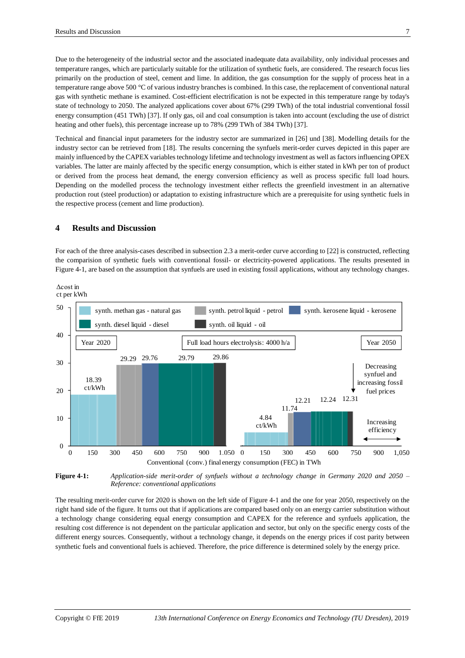Due to the heterogeneity of the industrial sector and the associated inadequate data availability, only individual processes and temperature ranges, which are particularly suitable for the utilization of synthetic fuels, are considered. The research focus lies primarily on the production of steel, cement and lime. In addition, the gas consumption for the supply of process heat in a temperature range above 500 °C of various industry branches is combined. In this case, the replacement of conventional natural gas with synthetic methane is examined. Cost-efficient electrification is not be expected in this temperature range by today's state of technology to 2050. The analyzed applications cover about 67% (299 TWh) of the total industrial conventional fossil energy consumption (451 TWh) [37]. If only gas, oil and coal consumption is taken into account (excluding the use of district heating and other fuels), this percentage increase up to 78% (299 TWh of 384 TWh) [37].

Technical and financial input parameters for the industry sector are summarized in [26] und [38]. Modelling details for the industry sector can be retrieved from [18]. The results concerning the synfuels merit-order curves depicted in this paper are mainly influenced by the CAPEX variables technology lifetime and technology investment as well as factors influencing OPEX variables. The latter are mainly affected by the specific energy consumption, which is either stated in kWh per ton of product or derived from the process heat demand, the energy conversion efficiency as well as process specific full load hours. Depending on the modelled process the technology investment either reflects the greenfield investment in an alternative production rout (steel production) or adaptation to existing infrastructure which are a prerequisite for using synthetic fuels in the respective process (cement and lime production).

## **4 Results and Discussion**

For each of the three analysis-cases described in subsection [2.3](#page-2-2) a merit-order curve according to [22] is constructed, reflecting the comparision of synthetic fuels with conventional fossil- or electricity-powered applications. The results presented in [Figure](#page-6-0) 4-1, are based on the assumption that synfuels are used in existing fossil applications, without any technology changes.



<span id="page-6-0"></span>**Figure 4-1:** *Application-side merit-order of synfuels without a technology change in Germany 2020 and 2050 – Reference: conventional applications*

The resulting merit-order curve for 2020 is shown on the left side of [Figure](#page-6-0) 4-1 and the one for year 2050, respectively on the right hand side of the figure. It turns out that if applications are compared based only on an energy carrier substitution without a technology change considering equal energy consumption and CAPEX for the reference and synfuels application, the resulting cost difference is not dependent on the particular application and sector, but only on the specific energy costs of the different energy sources. Consequently, without a technology change, it depends on the energy prices if cost parity between synthetic fuels and conventional fuels is achieved. Therefore, the price difference is determined solely by the energy price.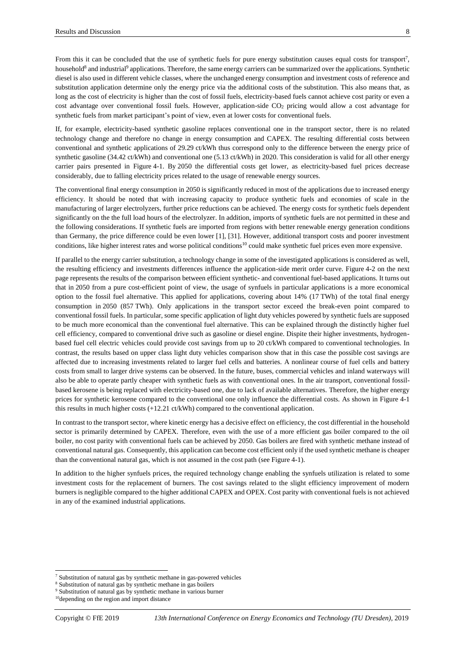From this it can be concluded that the use of synthetic fuels for pure energy substitution causes equal costs for transport<sup>7</sup>, household<sup>8</sup> and industrial<sup>9</sup> applications. Therefore, the same energy carriers can be summarized over the applications. Synthetic diesel is also used in different vehicle classes, where the unchanged energy consumption and investment costs of reference and substitution application determine only the energy price via the additional costs of the substitution. This also means that, as long as the cost of electricity is higher than the cost of fossil fuels, electricity-based fuels cannot achieve cost parity or even a cost advantage over conventional fossil fuels. However, application-side CO<sup>2</sup> pricing would allow a cost advantage for synthetic fuels from market participant's point of view, even at lower costs for conventional fuels.

If, for example, electricity-based synthetic gasoline replaces conventional one in the transport sector, there is no related technology change and therefore no change in energy consumption and CAPEX. The resulting differential costs between conventional and synthetic applications of 29.29 ct/kWh thus correspond only to the difference between the energy price of synthetic gasoline (34.42 ct/kWh) and conventional one (5.13 ct/kWh) in 2020. This consideration is valid for all other energy carrier pairs presented in [Figure](#page-6-0) 4-1. By 2050 the differential costs get lower, as electricity-based fuel prices decrease considerably, due to falling electricity prices related to the usage of renewable energy sources.

The conventional final energy consumption in 2050 is significantly reduced in most of the applications due to increased energy efficiency. It should be noted that with increasing capacity to produce synthetic fuels and economies of scale in the manufacturing of larger electrolyzers, further price reductions can be achieved. The energy costs for synthetic fuels dependent significantly on the the full load hours of the electrolyzer. In addition, imports of synthetic fuels are not permitted in these and the following considerations. If synthetic fuels are imported from regions with better renewable energy generation conditions than Germany, the price difference could be even lower [1], [31]. However, additional transport costs and poorer investment conditions, like higher interest rates and worse political conditions<sup>10</sup> could make synthetic fuel prices even more expensive.

If parallel to the energy carrier substitution, a technology change in some of the investigated applications is considered as well, the resulting efficiency and investments differences influence the application-side merit order curve. [Figure](#page-8-0) 4-2 on the next page represents the results of the comparison between efficient synthetic- and conventional fuel-based applications. It turns out that in 2050 from a pure cost-efficient point of view, the usage of synfuels in particular applications is a more economical option to the fossil fuel alternative. This applied for applications, covering about 14% (17 TWh) of the total final energy consumption in 2050 (857 TWh). Only applications in the transport sector exceed the break-even point compared to conventional fossil fuels. In particular, some specific application of light duty vehicles powered by synthetic fuels are supposed to be much more economical than the conventional fuel alternative. This can be explained through the distinctly higher fuel cell efficiency, compared to conventional drive such as gasoline or diesel engine. Dispite their higher investments, hydrogenbased fuel cell electric vehicles could provide cost savings from up to 20 ct/kWh compared to conventional technologies. In contrast, the results based on upper class light duty vehicles comparison show that in this case the possible cost savings are affected due to increasing investments related to larger fuel cells and batteries. A nonlinear course of fuel cells and battery costs from small to larger drive systems can be observed. In the future, buses, commercial vehicles and inland waterways will also be able to operate partly cheaper with synthetic fuels as with conventional ones. In the air transport, conventional fossilbased kerosene is being replaced with electricity-based one, due to lack of available alternatives. Therefore, the higher energy prices for synthetic kerosene compared to the conventional one only influence the differential costs. As shown in Figure 4-1 this results in much higher costs (+12.21 ct/kWh) compared to the conventional application.

In contrast to the transport sector, where kinetic energy has a decisive effect on efficiency, the cost differential in the household sector is primarily determined by CAPEX. Therefore, even with the use of a more efficient gas boiler compared to the oil boiler, no cost parity with conventional fuels can be achieved by 2050. Gas boilers are fired with synthetic methane instead of conventional natural gas. Consequently, this application can become cost efficient only if the used synthetic methane is cheaper than the conventional natural gas, which is not assumed in the cost path (see [Figure](#page-6-0) 4-1).

In addition to the higher synfuels prices, the required technology change enabling the synfuels utilization is related to some investment costs for the replacement of burners. The cost savings related to the slight efficiency improvement of modern burners is negligible compared to the higher additional CAPEX and OPEX. Cost parity with conventional fuels is not achieved in any of the examined industrial applications.

l

 $7$  Substitution of natural gas by synthetic methane in gas-powered vehicles

<sup>&</sup>lt;sup>8</sup> Substitution of natural gas by synthetic methane in gas boilers

<sup>&</sup>lt;sup>9</sup> Substitution of natural gas by synthetic methane in various burner

<sup>&</sup>lt;sup>10</sup>depending on the region and import distance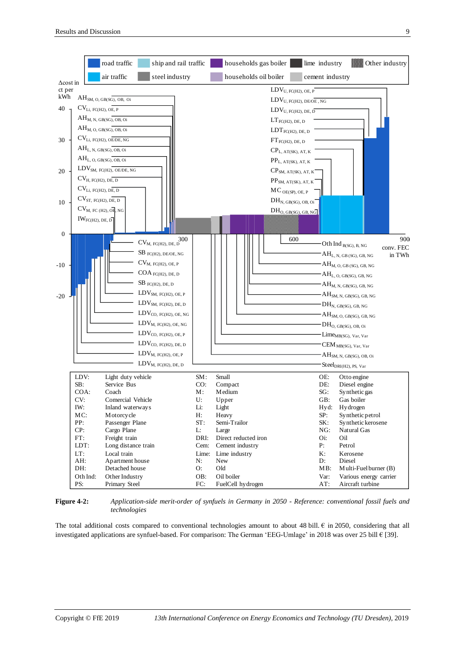

<span id="page-8-0"></span>**Figure 4-2:** *Application-side merit-order of synfuels in Germany in 2050 - Reference: conventional fossil fuels and technologies*

The total additional costs compared to conventional technologies amount to about 48 bill.  $\epsilon$  in 2050, considering that all investigated applications are synfuel-based. For comparison: The German 'EEG-Umlage' in 2018 was over 25 bill € [39].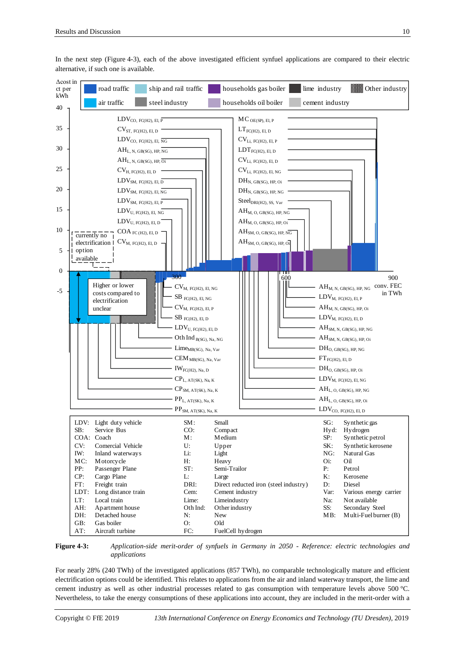

In the next step [\(Figure](#page-9-0) 4-3), each of the above investigated efficient synfuel applications are compared to their electric alternative, if such one is available.

#### <span id="page-9-0"></span>**Figure 4-3:** *Application-side merit-order of synfuels in Germany in 2050 - Reference: electric technologies and applications*

For nearly 28% (240 TWh) of the investigated applications (857 TWh), no comparable technologically mature and efficient electrification options could be identified. This relates to applications from the air and inland waterway transport, the lime and cement industry as well as other industrial processes related to gas consumption with temperature levels above 500 °C. Nevertheless, to take the energy consumptions of these applications into account, they are included in the merit-order with a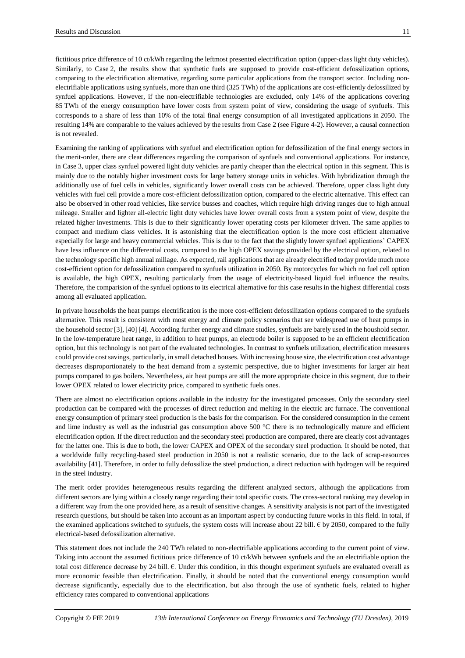fictitious price difference of 10 ct/kWh regarding the leftmost presented electrification option (upper-class light duty vehicles). Similarly, to Case 2, the results show that synthetic fuels are supposed to provide cost-efficient defossilization options, comparing to the electrification alternative, regarding some particular applications from the transport sector. Including nonelectrifiable applications using synfuels, more than one third (325 TWh) of the applications are cost-efficiently defossilized by synfuel applications. However, if the non-electrifiable technologies are excluded, only 14% of the applications covering 85 TWh of the energy consumption have lower costs from system point of view, considering the usage of synfuels. This corresponds to a share of less than 10% of the total final energy consumption of all investigated applications in 2050. The resulting 14% are comparable to the values achieved by the results from Case 2 (see [Figure](#page-8-0) 4-2). However, a causal connection is not revealed.

Examining the ranking of applications with synfuel and electrification option for defossilization of the final energy sectors in the merit-order, there are clear differences regarding the comparison of synfuels and conventional applications. For instance, in Case 3, upper class synfuel powered light duty vehicles are partly cheaper than the electrical option in this segment. This is mainly due to the notably higher investment costs for large battery storage units in vehicles. With hybridization through the additionally use of fuel cells in vehicles, significantly lower overall costs can be achieved. Therefore, upper class light duty vehicles with fuel cell provide a more cost-efficient defossilization option, compared to the electric alternative. This effect can also be observed in other road vehicles, like service busses and coaches, which require high driving ranges due to high annual mileage. Smaller and lighter all-electric light duty vehicles have lower overall costs from a system point of view, despite the related higher investments. This is due to their significantly lower operating costs per kilometer driven. The same applies to compact and medium class vehicles. It is astonishing that the electrification option is the more cost efficient alternative especially for large and heavy commercial vehicles. This is due to the fact that the slightly lower synfuel applications' CAPEX have less influence on the differential costs, compared to the high OPEX savings provided by the electrical option, related to the technology specific high annual millage. As expected, rail applications that are already electrified today provide much more cost-efficient option for defossilization compared to synfuels utilization in 2050. By motorcycles for which no fuel cell option is available, the high OPEX, resulting particularly from the usage of electricity-based liquid fuel influence the results. Therefore, the comparision of the synfuel options to its electrical alternative for this case results in the highest differential costs among all evaluated application.

In private households the heat pumps electrification is the more cost-efficient defossilization options compared to the synfuels alternative. This result is consistent with most energy and climate policy scenarios that see widespread use of heat pumps in the household sector [3], [40] [4]. According further energy and climate studies, synfuels are barely used in the houshold sector. In the low-temperature heat range, in addition to heat pumps, an electrode boiler is supposed to be an efficient electrification option, but this technology is not part of the evaluated technologies. In contrast to synfuels utilization, electrification measures could provide cost savings, particularly, in small detached houses. With increasing house size, the electrification cost advantage decreases disproportionately to the heat demand from a systemic perspective, due to higher investments for larger air heat pumps compared to gas boilers. Nevertheless, air heat pumps are still the more appropriate choice in this segment, due to their lower OPEX related to lower electricity price, compared to synthetic fuels ones.

There are almost no electrification options available in the industry for the investigated processes. Only the secondary steel production can be compared with the processes of direct reduction and melting in the electric arc furnace. The conventional energy consumption of primary steel production is the basis for the comparison. For the considered consumption in the cement and lime industry as well as the industrial gas consumption above  $500^{\circ}$ C there is no technologically mature and efficient electrification option. If the direct reduction and the secondary steel production are compared, there are clearly cost advantages for the latter one. This is due to both, the lower CAPEX and OPEX of the secondary steel production. It should be noted, that a worldwide fully recycling-based steel production in 2050 is not a realistic scenario, due to the lack of scrap-resources availability [41]. Therefore, in order to fully defossilize the steel production, a direct reduction with hydrogen will be required in the steel industry.

The merit order provides heterogeneous results regarding the different analyzed sectors, although the applications from different sectors are lying within a closely range regarding their total specific costs. The cross-sectoral ranking may develop in a different way from the one provided here, as a result of sensitive changes. A sensitivity analysis is not part of the investigated research questions, but should be taken into account as an important aspect by conducting future works in this field. In total, if the examined applications switched to synfuels, the system costs will increase about 22 bill.  $\epsilon$  by 2050, compared to the fully electrical-based defossilization alternative.

This statement does not include the 240 TWh related to non-electrifiable applications according to the current point of view. Taking into account the assumed fictitious price difference of 10 ct/kWh between synfuels and the an electrifiable option the total cost difference decrease by 24 bill. €. Under this condition, in this thought experiment synfuels are evaluated overall as more economic feasible than electrification. Finally, it should be noted that the conventional energy consumption would decrease significantly, especially due to the electrification, but also through the use of synthetic fuels, related to higher efficiency rates compared to conventional applications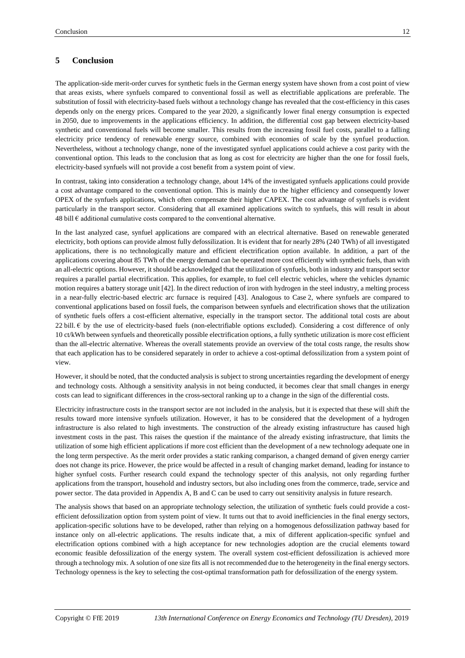# **5 Conclusion**

The application-side merit-order curves for synthetic fuels in the German energy system have shown from a cost point of view that areas exists, where synfuels compared to conventional fossil as well as electrifiable applications are preferable. The substitution of fossil with electricity-based fuels without a technology change has revealed that the cost-efficiency in this cases depends only on the energy prices. Compared to the year 2020, a significantly lower final energy consumption is expected in 2050, due to improvements in the applications efficiency. In addition, the differential cost gap between electricity-based synthetic and conventional fuels will become smaller. This results from the increasing fossil fuel costs, parallel to a falling electricity price tendency of renewable energy source, combined with economies of scale by the synfuel production. Nevertheless, without a technology change, none of the investigated synfuel applications could achieve a cost parity with the conventional option. This leads to the conclusion that as long as cost for electricity are higher than the one for fossil fuels, electricity-based synfuels will not provide a cost benefit from a system point of view.

In contrast, taking into consideration a technology change, about 14% of the investigated synfuels applications could provide a cost advantage compared to the conventional option. This is mainly due to the higher efficiency and consequently lower OPEX of the synfuels applications, which often compensate their higher CAPEX. The cost advantage of synfuels is evident particularly in the transport sector. Considering that all examined applications switch to synfuels, this will result in about 48 bill  $\epsilon$  additional cumulative costs compared to the conventional alternative.

In the last analyzed case, synfuel applications are compared with an electrical alternative. Based on renewable generated electricity, both options can provide almost fully defossilization. It is evident that for nearly 28% (240 TWh) of all investigated applications, there is no technologically mature and efficient electrification option available. In addition, a part of the applications covering about 85 TWh of the energy demand can be operated more cost efficiently with synthetic fuels, than with an all-electric options. However, it should be acknowledged that the utilization of synfuels, both in industry and transport sector requires a parallel partial electrification. This applies, for example, to fuel cell electric vehicles, where the vehicles dynamic motion requires a battery storage unit [42]. In the direct reduction of iron with hydrogen in the steel industry, a melting process in a near-fully electric-based electric arc furnace is required [43]. Analogous to Case 2, where synfuels are compared to conventional applications based on fossil fuels, the comparison between synfuels and electrification shows that the utilization of synthetic fuels offers a cost-efficient alternative, especially in the transport sector. The additional total costs are about 22 bill.  $\epsilon$  by the use of electricity-based fuels (non-electrifiable options excluded). Considering a cost difference of only 10 ct/kWh between synfuels and theoretically possible electrification options, a fully synthetic utilization is more cost efficient than the all-electric alternative. Whereas the overall statements provide an overview of the total costs range, the results show that each application has to be considered separately in order to achieve a cost-optimal defossilization from a system point of view.

However, it should be noted, that the conducted analysis is subject to strong uncertainties regarding the development of energy and technology costs. Although a sensitivity analysis in not being conducted, it becomes clear that small changes in energy costs can lead to significant differences in the cross-sectoral ranking up to a change in the sign of the differential costs.

Electricity infrastructure costs in the transport sector are not included in the analysis, but it is expected that these will shift the results toward more intensive synfuels utilization. However, it has to be considered that the development of a hydrogen infrastructure is also related to high investments. The construction of the already existing infrastructure has caused high investment costs in the past. This raises the question if the maintance of the already existing infrastructure, that limits the utilization of some high efficient applications if more cost efficient than the development of a new technology adequate one in the long term perspective. As the merit order provides a static ranking comparison, a changed demand of given energy carrier does not change its price. However, the price would be affected in a result of changing market demand, leading for instance to higher synfuel costs. Further research could expand the technology specter of this analysis, not only regarding further applications from the transport, household and industry sectors, but also including ones from the commerce, trade, service and power sector. The data provided in Appendix A, B and C can be used to carry out sensitivity analysis in future research.

The analysis shows that based on an appropriate technology selection, the utilization of synthetic fuels could provide a costefficient defossilization option from system point of view. It turns out that to avoid inefficiencies in the final energy sectors, application-specific solutions have to be developed, rather than relying on a homogenous defossilization pathway based for instance only on all-electric applications. The results indicate that, a mix of different application-specific synfuel and electrification options combined with a high acceptance for new technologies adoption are the crucial elements toward economic feasible defossilization of the energy system. The overall system cost-efficient defossilization is achieved more through a technology mix. A solution of one size fits all is not recommended due to the heterogeneity in the final energy sectors. Technology openness is the key to selecting the cost-optimal transformation path for defossilization of the energy system.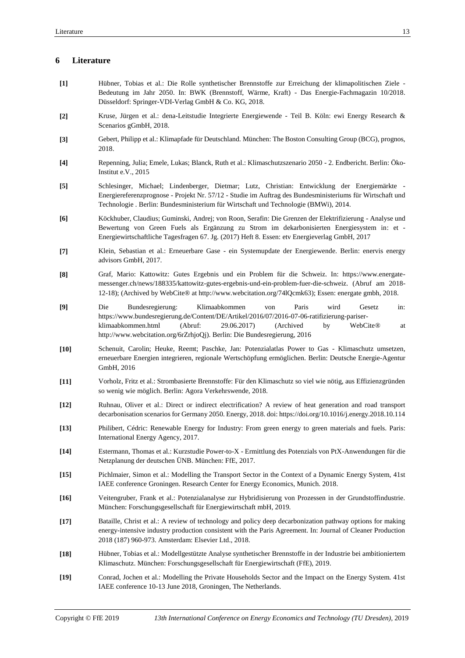# **6 Literature**

- **[1]** Hübner, Tobias et al.: Die Rolle synthetischer Brennstoffe zur Erreichung der klimapolitischen Ziele Bedeutung im Jahr 2050. In: BWK (Brennstoff, Wärme, Kraft) - Das Energie-Fachmagazin 10/2018. Düsseldorf: Springer-VDI-Verlag GmbH & Co. KG, 2018.
- **[2]** Kruse, Jürgen et al.: dena-Leitstudie Integrierte Energiewende Teil B. Köln: ewi Energy Research & Scenarios gGmbH, 2018.
- **[3]** Gebert, Philipp et al.: Klimapfade für Deutschland. München: The Boston Consulting Group (BCG), prognos, 2018.
- **[4]** Repenning, Julia; Emele, Lukas; Blanck, Ruth et al.: Klimaschutzszenario 2050 2. Endbericht. Berlin: Öko-Institut e.V., 2015
- **[5]** Schlesinger, Michael; Lindenberger, Dietmar; Lutz, Christian: Entwicklung der Energiemärkte Energiereferenzprognose - Projekt Nr. 57/12 - Studie im Auftrag des Bundesministeriums für Wirtschaft und Technologie . Berlin: Bundesministerium für Wirtschaft und Technologie (BMWi), 2014.
- **[6]** Köckhuber, Claudius; Guminski, Andrej; von Roon, Serafin: Die Grenzen der Elektrifizierung Analyse und Bewertung von Green Fuels als Ergänzung zu Strom im dekarbonisierten Energiesystem in: et - Energiewirtschaftliche Tagesfragen 67. Jg. (2017) Heft 8. Essen: etv Energieverlag GmbH, 2017
- **[7]** Klein, Sebastian et al.: Erneuerbare Gase ein Systemupdate der Energiewende. Berlin: enervis energy advisors GmbH, 2017.
- **[8]** Graf, Mario: Kattowitz: Gutes Ergebnis und ein Problem für die Schweiz. In: https://www.energatemessenger.ch/news/188335/kattowitz-gutes-ergebnis-und-ein-problem-fuer-die-schweiz. (Abruf am 2018- 12-18); (Archived by WebCite® at http://www.webcitation.org/74lQcmk63); Essen: energate gmbh, 2018.
- **[9]** Die Bundesregierung: Klimaabkommen von Paris wird Gesetz in: https://www.bundesregierung.de/Content/DE/Artikel/2016/07/2016-07-06-ratifizierung-pariserklimaabkommen.html (Abruf: 29.06.2017) (Archived by WebCite® at http://www.webcitation.org/6rZrhjoQj). Berlin: Die Bundesregierung, 2016
- **[10]** Schenuit, Carolin; Heuke, Reemt; Paschke, Jan: Potenzialatlas Power to Gas Klimaschutz umsetzen, erneuerbare Energien integrieren, regionale Wertschöpfung ermöglichen. Berlin: Deutsche Energie-Agentur GmbH, 2016
- **[11]** Vorholz, Fritz et al.: Strombasierte Brennstoffe: Für den Klimaschutz so viel wie nötig, aus Effizienzgründen so wenig wie möglich. Berlin: Agora Verkehrswende, 2018.
- **[12]** Ruhnau, Oliver et al.: Direct or indirect electrification? A review of heat generation and road transport decarbonisation scenarios for Germany 2050. Energy, 2018. doi: https://doi.org/10.1016/j.energy.2018.10.114
- **[13]** Philibert, Cédric: Renewable Energy for Industry: From green energy to green materials and fuels. Paris: International Energy Agency, 2017.
- **[14]** Estermann, Thomas et al.: Kurzstudie Power-to-X Ermittlung des Potenzials von PtX-Anwendungen für die Netzplanung der deutschen ÜNB. München: FfE, 2017.
- **[15]** Pichlmaier, Simon et al.: Modelling the Transport Sector in the Context of a Dynamic Energy System, 41st IAEE conference Groningen. Research Center for Energy Economics, Munich. 2018.
- **[16]** Veitengruber, Frank et al.: Potenzialanalyse zur Hybridisierung von Prozessen in der Grundstoffindustrie. München: Forschungsgesellschaft für Energiewirtschaft mbH, 2019.
- **[17]** Bataille, Christ et al.: A review of technology and policy deep decarbonization pathway options for making energy-intensive industry production consistent with the Paris Agreement. In: Journal of Cleaner Production 2018 (187) 960-973. Amsterdam: Elsevier Ltd., 2018.
- **[18]** Hübner, Tobias et al.: Modellgestützte Analyse synthetischer Brennstoffe in der Industrie bei ambitioniertem Klimaschutz. München: Forschungsgesellschaft für Energiewirtschaft (FfE), 2019.
- **[19]** Conrad, Jochen et al.: Modelling the Private Households Sector and the Impact on the Energy System. 41st IAEE conference 10-13 June 2018, Groningen, The Netherlands.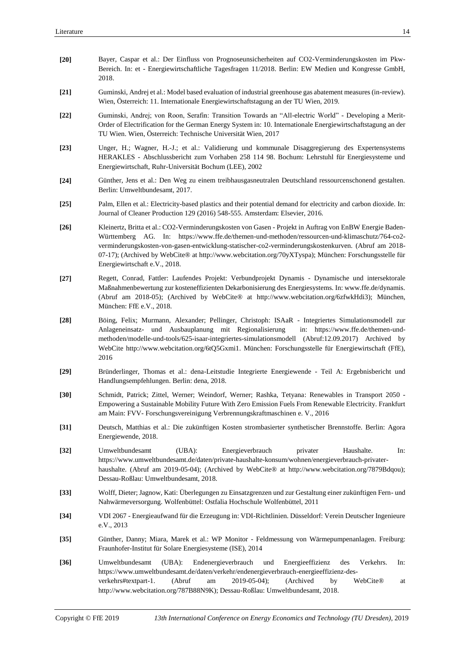| $[20]$ | Bayer, Caspar et al.: Der Einfluss von Prognoseunsicherheiten auf CO2-Verminderungskosten im Pkw-<br>Bereich. In: et - Energiewirtschaftliche Tagesfragen 11/2018. Berlin: EW Medien und Kongresse GmbH,<br>2018.                                                                                                                                                                                                                                           |  |  |  |  |  |
|--------|-------------------------------------------------------------------------------------------------------------------------------------------------------------------------------------------------------------------------------------------------------------------------------------------------------------------------------------------------------------------------------------------------------------------------------------------------------------|--|--|--|--|--|
| $[21]$ | Guminski, Andrej et al.: Model based evaluation of industrial greenhouse gas abatement measures (in-review).<br>Wien, Österreich: 11. Internationale Energiewirtschaftstagung an der TU Wien, 2019.                                                                                                                                                                                                                                                         |  |  |  |  |  |
| $[22]$ | Guminski, Andrej; von Roon, Serafin: Transition Towards an "All-electric World" - Developing a Merit-<br>Order of Electrification for the German Energy System in: 10. Internationale Energiewirtschaftstagung an der<br>TU Wien. Wien, Österreich: Technische Universität Wien, 2017                                                                                                                                                                       |  |  |  |  |  |
| $[23]$ | Unger, H.; Wagner, H.-J.; et al.: Validierung und kommunale Disaggregierung des Expertensystems<br>HERAKLES - Abschlussbericht zum Vorhaben 258 114 98. Bochum: Lehrstuhl für Energiesysteme und<br>Energiewirtschaft, Ruhr-Universität Bochum (LEE), 2002                                                                                                                                                                                                  |  |  |  |  |  |
| $[24]$ | Günther, Jens et al.: Den Weg zu einem treibhausgasneutralen Deutschland ressourcenschonend gestalten.<br>Berlin: Umweltbundesamt, 2017.                                                                                                                                                                                                                                                                                                                    |  |  |  |  |  |
| $[25]$ | Palm, Ellen et al.: Electricity-based plastics and their potential demand for electricity and carbon dioxide. In:<br>Journal of Cleaner Production 129 (2016) 548-555. Amsterdam: Elsevier, 2016.                                                                                                                                                                                                                                                           |  |  |  |  |  |
| $[26]$ | Kleinertz, Britta et al.: CO2-Verminderungskosten von Gasen - Projekt in Auftrag von EnBW Energie Baden-<br>Württemberg AG. In: https://www.ffe.de/themen-und-methoden/ressourcen-und-klimaschutz/764-co2-<br>verminderungskosten-von-gasen-entwicklung-statischer-co2-verminderungskostenkurven. (Abruf am 2018-<br>07-17); (Archived by WebCite® at http://www.webcitation.org/70yXTyspa); München: Forschungsstelle für<br>Energiewirtschaft e.V., 2018. |  |  |  |  |  |
| $[27]$ | Regett, Conrad, Fattler: Laufendes Projekt: Verbundprojekt Dynamis - Dynamische und intersektorale<br>Maßnahmenbewertung zur kosteneffizienten Dekarbonisierung des Energiesystems. In: www.ffe.de/dynamis.<br>(Abruf am 2018-05); (Archived by WebCite® at http://www.webcitation.org/6zfwkHdi3); München,<br>München: FfE e.V., 2018.                                                                                                                     |  |  |  |  |  |
| $[28]$ | Böing, Felix; Murmann, Alexander; Pellinger, Christoph: ISAaR - Integriertes Simulationsmodell zur<br>Anlageneinsatz- und Ausbauplanung mit Regionalisierung<br>in: https://www.ffe.de/themen-und-<br>methoden/modelle-und-tools/625-isaar-integriertes-simulationsmodell (Abruf:12.09.2017) Archived by<br>WebCite http://www.webcitation.org/6tQ5Gxmi1. München: Forschungsstelle für Energiewirtschaft (FfE),<br>2016                                    |  |  |  |  |  |
| $[29]$ | Bründerlinger, Thomas et al.: dena-Leitstudie Integrierte Energiewende - Teil A: Ergebnisbericht und<br>Handlungsempfehlungen. Berlin: dena, 2018.                                                                                                                                                                                                                                                                                                          |  |  |  |  |  |
| [30]   | Schmidt, Patrick; Zittel, Werner; Weindorf, Werner; Rashka, Tetyana: Renewables in Transport 2050 -<br>Empowering a Sustainable Mobility Future With Zero Emission Fuels From Renewable Electricity. Frankfurt<br>am Main: FVV- Forschungsvereinigung Verbrennungskraftmaschinen e. V., 2016                                                                                                                                                                |  |  |  |  |  |
| $[31]$ | Deutsch, Matthias et al.: Die zukünftigen Kosten strombasierter synthetischer Brennstoffe. Berlin: Agora<br>Energiewende, 2018.                                                                                                                                                                                                                                                                                                                             |  |  |  |  |  |
| $[32]$ | Umweltbundesamt<br>(UBA):<br>Energieverbrauch<br>privater<br>Haushalte.<br>In:<br>https://www.umweltbundesamt.de/daten/private-haushalte-konsum/wohnen/energieverbrauch-privater-<br>haushalte. (Abruf am 2019-05-04); (Archived by WebCite® at http://www.webcitation.org/7879Bdqou);<br>Dessau-Roßlau: Umweltbundesamt, 2018.                                                                                                                             |  |  |  |  |  |
| $[33]$ | Wolff, Dieter; Jagnow, Kati: Überlegungen zu Einsatzgrenzen und zur Gestaltung einer zukünftigen Fern- und<br>Nahwärmeversorgung. Wolfenbüttel: Ostfalia Hochschule Wolfenbüttel, 2011                                                                                                                                                                                                                                                                      |  |  |  |  |  |
| $[34]$ | VDI 2067 - Energieaufwand für die Erzeugung in: VDI-Richtlinien. Düsseldorf: Verein Deutscher Ingenieure<br>e.V., 2013                                                                                                                                                                                                                                                                                                                                      |  |  |  |  |  |
| $[35]$ | Günther, Danny; Miara, Marek et al.: WP Monitor - Feldmessung von Wärmepumpenanlagen. Freiburg:<br>Fraunhofer-Institut für Solare Energiesysteme (ISE), 2014                                                                                                                                                                                                                                                                                                |  |  |  |  |  |
| $[36]$ | Umweltbundesamt<br>Endenergieverbrauch<br>Energieeffizienz<br>(UBA):<br>und<br>des<br>Verkehrs.<br>In:<br>https://www.umweltbundesamt.de/daten/verkehr/endenergieverbrauch-energieeffizienz-des-<br>verkehrs#textpart-1.<br>(Abruf<br>$2019 - 05 - 04$ ;<br>(Archived<br>am<br>by<br>WebCite®<br>at<br>http://www.webcitation.org/787B88N9K); Dessau-Roßlau: Umweltbundesamt, 2018.                                                                         |  |  |  |  |  |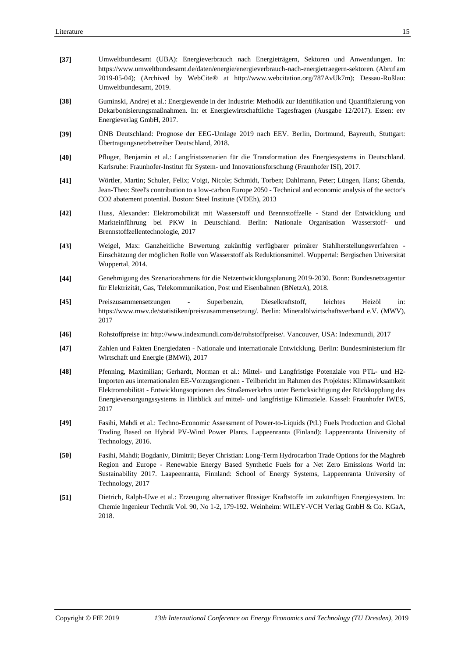| $[37]$ | Umweltbundesamt (UBA): Energieverbrauch nach Energieträgern, Sektoren und Anwendungen. In:<br>https://www.umweltbundesamt.de/daten/energie/energieverbrauch-nach-energietraegern-sektoren. (Abruf am<br>2019-05-04); (Archived by WebCite® at http://www.webcitation.org/787AvUk7m); Dessau-Roßlau:<br>Umweltbundesamt, 2019.                                                                                                                |  |  |  |  |  |
|--------|----------------------------------------------------------------------------------------------------------------------------------------------------------------------------------------------------------------------------------------------------------------------------------------------------------------------------------------------------------------------------------------------------------------------------------------------|--|--|--|--|--|
| $[38]$ | Guminski, Andrej et al.: Energiewende in der Industrie: Methodik zur Identifikation und Quantifizierung von<br>Dekarbonisierungsmaßnahmen. In: et Energiewirtschaftliche Tagesfragen (Ausgabe 12/2017). Essen: etv<br>Energieverlag GmbH, 2017.                                                                                                                                                                                              |  |  |  |  |  |
| $[39]$ | UNB Deutschland: Prognose der EEG-Umlage 2019 nach EEV. Berlin, Dortmund, Bayreuth, Stuttgart:<br>Übertragungsnetzbetreiber Deutschland, 2018.                                                                                                                                                                                                                                                                                               |  |  |  |  |  |
| $[40]$ | Pfluger, Benjamin et al.: Langfristszenarien für die Transformation des Energiesystems in Deutschland.<br>Karlsruhe: Fraunhofer-Institut für System- und Innovationsforschung (Fraunhofer ISI), 2017.                                                                                                                                                                                                                                        |  |  |  |  |  |
| $[41]$ | Wörtler, Martin; Schuler, Felix; Voigt, Nicole; Schmidt, Torben; Dahlmann, Peter; Lüngen, Hans; Ghenda,<br>Jean-Theo: Steel's contribution to a low-carbon Europe 2050 - Technical and economic analysis of the sector's<br>CO2 abatement potential. Boston: Steel Institute (VDEh), 2013                                                                                                                                                    |  |  |  |  |  |
| $[42]$ | Huss, Alexander: Elektromobilität mit Wasserstoff und Brennstoffzelle - Stand der Entwicklung und<br>Markteinführung bei PKW in Deutschland. Berlin: Nationale Organisation Wasserstoff- und<br>Brennstoffzellentechnologie, 2017                                                                                                                                                                                                            |  |  |  |  |  |
| $[43]$ | Weigel, Max: Ganzheitliche Bewertung zukünftig verfügbarer primärer Stahlherstellungsverfahren -<br>Einschätzung der möglichen Rolle von Wasserstoff als Reduktionsmittel. Wuppertal: Bergischen Universität<br>Wuppertal, 2014.                                                                                                                                                                                                             |  |  |  |  |  |
| $[44]$ | Genehmigung des Szenariorahmens für die Netzentwicklungsplanung 2019-2030. Bonn: Bundesnetzagentur<br>für Elektrizität, Gas, Telekommunikation, Post und Eisenbahnen (BNetzA), 2018.                                                                                                                                                                                                                                                         |  |  |  |  |  |
| $[45]$ | Superbenzin,<br>Dieselkraftstoff,<br>leichtes<br>Heizöl<br>Preiszusammensetzungen<br>in:<br>$\overline{\phantom{a}}$<br>https://www.mwv.de/statistiken/preiszusammensetzung/. Berlin: Mineralölwirtschaftsverband e.V. (MWV),<br>2017                                                                                                                                                                                                        |  |  |  |  |  |
| $[46]$ | Rohstoffpreise in: http://www.indexmundi.com/de/rohstoffpreise/. Vancouver, USA: Indexmundi, 2017                                                                                                                                                                                                                                                                                                                                            |  |  |  |  |  |
| $[47]$ | Zahlen und Fakten Energiedaten - Nationale und internationale Entwicklung. Berlin: Bundesministerium für<br>Wirtschaft und Energie (BMWi), 2017                                                                                                                                                                                                                                                                                              |  |  |  |  |  |
| $[48]$ | Pfenning, Maximilian; Gerhardt, Norman et al.: Mittel- und Langfristige Potenziale von PTL- und H2-<br>Importen aus internationalen EE-Vorzugsregionen - Teilbericht im Rahmen des Projektes: Klimawirksamkeit<br>Elektromobilität - Entwicklungsoptionen des Straßenverkehrs unter Berücksichtigung der Rückkopplung des<br>Energieversorgungssystems in Hinblick auf mittel- und langfristige Klimaziele. Kassel: Fraunhofer IWES,<br>2017 |  |  |  |  |  |
| $[49]$ | Fasihi, Mahdi et al.: Techno-Economic Assessment of Power-to-Liquids (PtL) Fuels Production and Global<br>Trading Based on Hybrid PV-Wind Power Plants. Lappeenranta (Finland): Lappeenranta University of<br>Technology, 2016.                                                                                                                                                                                                              |  |  |  |  |  |
| $[50]$ | Fasihi, Mahdi; Bogdaniv, Dimitrii; Beyer Christian: Long-Term Hydrocarbon Trade Options for the Maghreb<br>Region and Europe - Renewable Energy Based Synthetic Fuels for a Net Zero Emissions World in:<br>Sustainability 2017. Laapeenranta, Finnland: School of Energy Systems, Lappeenranta University of<br>Technology, 2017                                                                                                            |  |  |  |  |  |
| $[51]$ | Dietrich, Ralph-Uwe et al.: Erzeugung alternativer flüssiger Kraftstoffe im zukünftigen Energiesystem. In:<br>Chemie Ingenieur Technik Vol. 90, No 1-2, 179-192. Weinheim: WILEY-VCH Verlag GmbH & Co. KGaA,<br>2018.                                                                                                                                                                                                                        |  |  |  |  |  |
|        |                                                                                                                                                                                                                                                                                                                                                                                                                                              |  |  |  |  |  |
|        |                                                                                                                                                                                                                                                                                                                                                                                                                                              |  |  |  |  |  |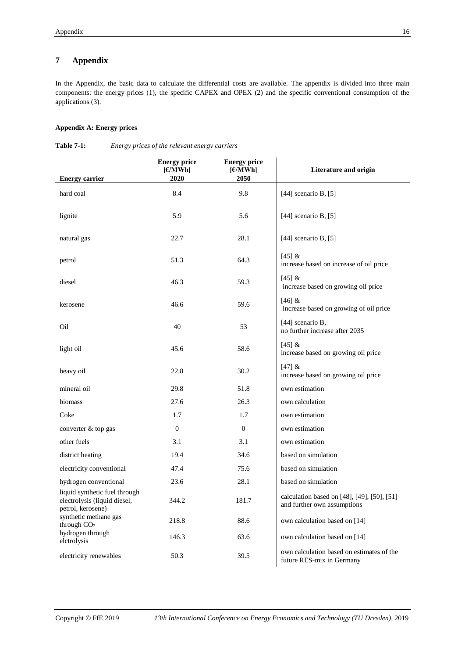# **7 Appendix**

In the Appendix, the basic data to calculate the differential costs are available. The appendix is divided into three main components: the energy prices (1), the specific CAPEX and OPEX (2) and the specific conventional consumption of the applications (3).

# **Appendix A: Energy prices**

|                                                                                    | <b>Energy price</b><br>$[\in]$ MWh | <b>Energy price</b><br>$[\in]$ MWh | Literature and origin                                                      |
|------------------------------------------------------------------------------------|------------------------------------|------------------------------------|----------------------------------------------------------------------------|
| <b>Energy carrier</b>                                                              | 2020                               | 2050                               |                                                                            |
| hard coal                                                                          | 8.4                                | 9.8                                | [44] scenario B, $[5]$                                                     |
| lignite                                                                            | 5.9                                | 5.6                                | [44] scenario B, $[5]$                                                     |
| natural gas                                                                        | 22.7                               | 28.1                               | [44] scenario B, $[5]$                                                     |
| petrol                                                                             | 51.3                               | 64.3                               | [45] &<br>increase based on increase of oil price                          |
| diesel                                                                             | 46.3                               | 59.3                               | [45] &<br>increase based on growing oil price                              |
| kerosene                                                                           | 46.6                               | 59.6                               | [46] &<br>increase based on growing of oil price                           |
| Oil                                                                                | 40                                 | 53                                 | [44] scenario B,<br>no further increase after 2035                         |
| light oil                                                                          | 45.6                               | 58.6                               | [45] &<br>increase based on growing oil price                              |
| heavy oil                                                                          | 22.8                               | 30.2                               | [47] &<br>increase based on growing oil price                              |
| mineral oil                                                                        | 29.8                               | 51.8                               | own estimation                                                             |
| biomass                                                                            | 27.6                               | 26.3                               | own calculation                                                            |
| Coke                                                                               | 1.7                                | 1.7                                | own estimation                                                             |
| converter & top gas                                                                | $\mathbf{0}$                       | $\mathbf{0}$                       | own estimation                                                             |
| other fuels                                                                        | 3.1                                | 3.1                                | own estimation                                                             |
| district heating                                                                   | 19.4                               | 34.6                               | based on simulation                                                        |
| electricity conventional                                                           | 47.4                               | 75.6                               | based on simulation                                                        |
| hydrogen conventional                                                              | 23.6                               | 28.1                               | based on simulation                                                        |
| liquid synthetic fuel through<br>electrolysis (liquid diesel,<br>petrol, kerosene) | 344.2                              | 181.7                              | calculation based on [48], [49], [50], [51]<br>and further own assumptions |
| synthetic methane gas<br>through $CO2$                                             | 218.8                              | 88.6                               | own calculation based on [14]                                              |
| hydrogen through<br>elctrolysis                                                    | 146.3                              | 63.6                               | own calculation based on [14]                                              |
| electricity renewables                                                             | 50.3                               | 39.5                               | own calculation based on estimates of the<br>future RES-mix in Germany     |

<span id="page-15-0"></span>**Table 7-1:** *Energy prices of the relevant energy carriers*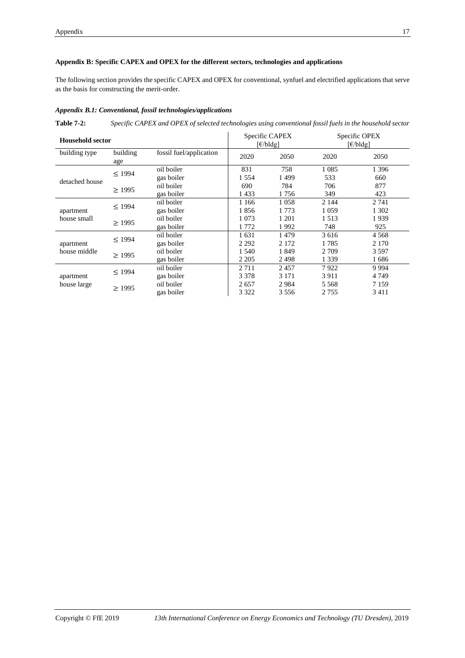# **Appendix B: Specific CAPEX and OPEX for the different sectors, technologies and applications**

The following section provides the specific CAPEX and OPEX for conventional, synfuel and electrified applications that serve as the basis for constructing the merit-order.

## *Appendix B.1: Conventional, fossil technologies/applications*

**Table 7-2:** *Specific CAPEX and OPEX of selected technologies using conventional fossil fuels in the household sector*

| <b>Household sector</b> |                 |                         | Specific CAPEX<br>$\lceil \frac{\epsilon}{b} \rceil$ |         |         | Specific OPEX<br>$\lceil \frac{\epsilon}{b} \rceil$ |
|-------------------------|-----------------|-------------------------|------------------------------------------------------|---------|---------|-----------------------------------------------------|
| building type           | building<br>age | fossil fuel/application | 2020                                                 | 2050    | 2020    | 2050                                                |
|                         | $\leq$ 1994     | oil boiler              | 831                                                  | 758     | 1 0 8 5 | 1 3 9 6                                             |
|                         |                 | gas boiler              | 1 5 5 4                                              | 1499    | 533     | 660                                                 |
| detached house          | >1995           | oil boiler              | 690                                                  | 784     | 706     | 877                                                 |
|                         |                 | gas boiler              | 1433                                                 | 1756    | 349     | 423                                                 |
|                         | < 1994          | oil boiler              | 1 1 6 6                                              | 1 0 5 8 | 2 1 4 4 | 2 741                                               |
| apartment               |                 | gas boiler              | 1856                                                 | 1 773   | 1 0 5 9 | 1 302                                               |
| house small             | $\geq$ 1995     | oil boiler              | 1 0 7 3                                              | 1 201   | 1513    | 1939                                                |
|                         |                 | gas boiler              | 1 772                                                | 1992    | 748     | 925                                                 |
|                         | $\leq$ 1994     | oil boiler              | 1631                                                 | 1479    | 3616    | 4 5 6 8                                             |
| apartment               |                 | gas boiler              | 2 2 9 2                                              | 2 1 7 2 | 1785    | 2 1 7 0                                             |
| house middle            | $\geq$ 1995     | oil boiler              | 1 540                                                | 1849    | 2 7 0 9 | 3 5 9 7                                             |
|                         |                 | gas boiler              | 2 2 0 5                                              | 2498    | 1 3 3 9 | 1686                                                |
|                         | $\leq$ 1994     | oil boiler              | 2 7 1 1                                              | 2457    | 7922    | 9 9 9 4                                             |
| apartment               |                 | gas boiler              | 3 3 7 8                                              | 3 1 7 1 | 3911    | 4 7 4 9                                             |
| house large             |                 | oil boiler              | 2657                                                 | 2984    | 5 5 6 8 | 7 1 5 9                                             |
|                         | $\geq$ 1995     | gas boiler              | 3 3 2 2                                              | 3556    | 2 7 5 5 | 3411                                                |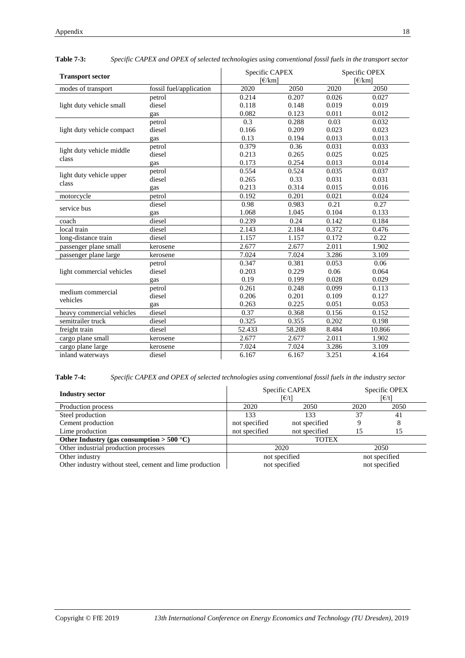| <b>Transport sector</b>    |                         |        | Specific CAPEX<br>$F/km$ ] |       | Specific OPEX<br>$\lceil \frac{\epsilon}{km} \rceil$ |  |
|----------------------------|-------------------------|--------|----------------------------|-------|------------------------------------------------------|--|
| modes of transport         | fossil fuel/application | 2020   | 2050                       | 2020  | 2050                                                 |  |
|                            | petrol                  | 0.214  | 0.207                      | 0.026 | 0.027                                                |  |
| light duty vehicle small   | diesel                  | 0.118  | 0.148                      | 0.019 | 0.019                                                |  |
|                            | gas                     | 0.082  | 0.123                      | 0.011 | 0.012                                                |  |
|                            | petrol                  | 0.3    | 0.288                      | 0.03  | 0.032                                                |  |
| light duty vehicle compact | diesel                  | 0.166  | 0.209                      | 0.023 | 0.023                                                |  |
|                            | gas                     | 0.13   | 0.194                      | 0.013 | 0.013                                                |  |
| light duty vehicle middle  | petrol                  | 0.379  | 0.36                       | 0.031 | 0.033                                                |  |
| class                      | diesel                  | 0.213  | 0.265                      | 0.025 | 0.025                                                |  |
|                            | gas                     | 0.173  | 0.254                      | 0.013 | 0.014                                                |  |
| light duty vehicle upper   | petrol                  | 0.554  | 0.524                      | 0.035 | 0.037                                                |  |
| class                      | diesel                  | 0.265  | 0.33                       | 0.031 | 0.031                                                |  |
|                            | gas                     | 0.213  | 0.314                      | 0.015 | 0.016                                                |  |
| motorcycle                 | petrol                  | 0.192  | 0.201                      | 0.021 | 0.024                                                |  |
| service bus                | diesel                  | 0.98   | 0.983                      | 0.21  | 0.27                                                 |  |
|                            | gas                     | 1.068  | 1.045                      | 0.104 | 0.133                                                |  |
| coach                      | diesel                  | 0.239  | 0.24                       | 0.142 | 0.184                                                |  |
| local train                | diesel                  | 2.143  | 2.184                      | 0.372 | 0.476                                                |  |
| long-distance train        | diesel                  | 1.157  | 1.157                      | 0.172 | 0.22                                                 |  |
| passenger plane small      | kerosene                | 2.677  | 2.677                      | 2.011 | 1.902                                                |  |
| passenger plane large      | kerosene                | 7.024  | 7.024                      | 3.286 | 3.109                                                |  |
|                            | petrol                  | 0.347  | 0.381                      | 0.053 | 0.06                                                 |  |
| light commercial vehicles  | diesel                  | 0.203  | 0.229                      | 0.06  | 0.064                                                |  |
|                            | gas                     | 0.19   | 0.199                      | 0.028 | 0.029                                                |  |
| medium commercial          | petrol                  | 0.261  | 0.248                      | 0.099 | 0.113                                                |  |
| vehicles                   | diesel                  | 0.206  | 0.201                      | 0.109 | 0.127                                                |  |
|                            | gas                     | 0.263  | 0.225                      | 0.051 | 0.053                                                |  |
| heavy commercial vehicles  | diesel                  | 0.37   | 0.368                      | 0.156 | 0.152                                                |  |
| semitrailer truck          | diesel                  | 0.325  | 0.355                      | 0.202 | 0.198                                                |  |
| freight train              | diesel                  | 52.433 | 58.208                     | 8.484 | 10.866                                               |  |
| cargo plane small          | kerosene                | 2.677  | 2.677                      | 2.011 | 1.902                                                |  |
| cargo plane large          | kerosene                | 7.024  | 7.024                      | 3.286 | 3.109                                                |  |
| inland waterways           | diesel                  | 6.167  | 6.167                      | 3.251 | 4.164                                                |  |

| <b>Table 7-3:</b> | Specific CAPEX and OPEX of selected technologies using conventional fossil fuels in the transport sector |  |  |
|-------------------|----------------------------------------------------------------------------------------------------------|--|--|
|                   |                                                                                                          |  |  |

**Table 7-4:** *Specific CAPEX and OPEX of selected technologies using conventional fossil fuels in the industry sector*

| <b>Industry sector</b>                                   |               | Specific CAPEX<br>[€/t] |               | Specific OPEX<br>[€/t] |  |
|----------------------------------------------------------|---------------|-------------------------|---------------|------------------------|--|
| Production process                                       | 2020          | 2050                    | 2020          | 2050                   |  |
| Steel production                                         | 133           | 133                     | 37            | 41                     |  |
| Cement production                                        | not specified | not specified           | Q             |                        |  |
| Lime production                                          | not specified | not specified           | 15            | 15                     |  |
| Other Industry (gas consumption $>$ 500 °C)              | <b>TOTEX</b>  |                         |               |                        |  |
| Other industrial production processes                    | 2020          |                         | 2050          |                        |  |
| Other industry                                           | not specified |                         |               | not specified          |  |
| Other industry without steel, cement and lime production |               | not specified           | not specified |                        |  |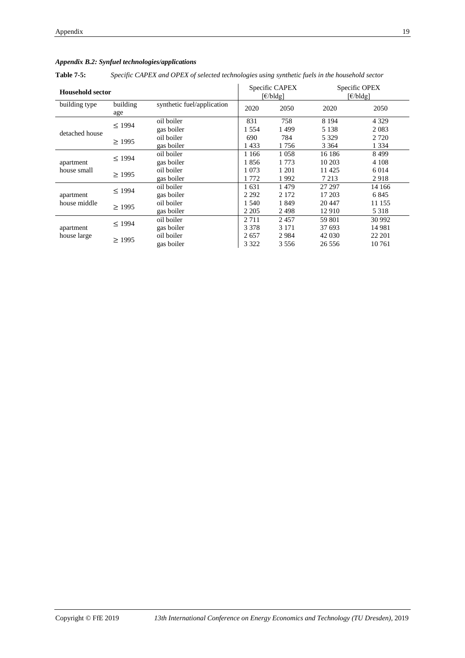apartment house large

 $\overline{a}$ 

|                         |                 | Appendix B.2: Synfuel technologies/applications                                                |                                                          |         |         |                                                           |
|-------------------------|-----------------|------------------------------------------------------------------------------------------------|----------------------------------------------------------|---------|---------|-----------------------------------------------------------|
| <b>Table 7-5:</b>       |                 | Specific CAPEX and OPEX of selected technologies using synthetic fuels in the household sector |                                                          |         |         |                                                           |
| <b>Household sector</b> |                 |                                                                                                | Specific CAPEX<br>$\lceil \frac{\epsilon}{b} \lg \rceil$ |         |         | Specific OPEX<br>$\lceil \frac{\epsilon}{b} \rceil$ della |
| building type           | building<br>age | synthetic fuel/application                                                                     | 2020                                                     | 2050    | 2020    | 2050                                                      |
| detached house          | $\leq$ 1994     | oil boiler                                                                                     | 831                                                      | 758     | 8 1 9 4 | 4 3 2 9                                                   |
|                         |                 | gas boiler                                                                                     | 1 5 5 4                                                  | 1499    | 5 1 3 8 | 2 0 8 3                                                   |
|                         | $\geq$ 1995     | oil boiler                                                                                     | 690                                                      | 784     | 5 3 2 9 | 2 7 2 0                                                   |
|                         |                 | gas boiler                                                                                     | 1433                                                     | 1756    | 3 3 6 4 | 1 3 3 4                                                   |
|                         | $\leq$ 1994     | oil boiler                                                                                     | 1 1 6 6                                                  | 1 0 5 8 | 16 18 6 | 8499                                                      |
| apartment               |                 | gas boiler                                                                                     | 1856                                                     | 1 7 7 3 | 10 203  | 4 1 0 8                                                   |
| house small             | $\geq$ 1995     | oil boiler                                                                                     | 1 0 7 3                                                  | 1 201   | 11 4 25 | 6 0 1 4                                                   |
|                         |                 | gas boiler                                                                                     | 1772                                                     | 1992    | 7 2 1 3 | 2918                                                      |
|                         | $\leq$ 1994     | oil boiler                                                                                     | 1631                                                     | 1479    | 27 297  | 14 16 6                                                   |
| apartment               |                 | gas boiler                                                                                     | 2 2 9 2                                                  | 2 1 7 2 | 17 203  | 6845                                                      |
| house middle            |                 | oil boiler                                                                                     | 1 540                                                    | 1849    | 20447   | 11 155                                                    |
|                         | $\geq$ 1995     | gas boiler                                                                                     | 2 2 0 5                                                  | 2498    | 12910   | 5 3 1 8                                                   |
|                         | $\leq$ 1994     | oil boiler                                                                                     | 2 7 1 1                                                  | 2457    | 59 801  | 30 992                                                    |
| $0.0200$ and $0.0200$   |                 | اسمائمها ممم                                                                                   | 2.270                                                    | 2.171   | 27.602  | 14001                                                     |

gas boiler <br>3 378 3 171 37 693 14 981<br>2 657 2 984 42 030 22 201

gas boiler 3 322 3 556 26 556 10 761

<sup>≥</sup> <sup>1995</sup> oil boiler <sup>2</sup> <sup>657</sup> <sup>2</sup> <sup>984</sup> <sup>42</sup> <sup>030</sup> <sup>22</sup> <sup>201</sup>

## *Appendix B.2: Synfuel technologies/applications*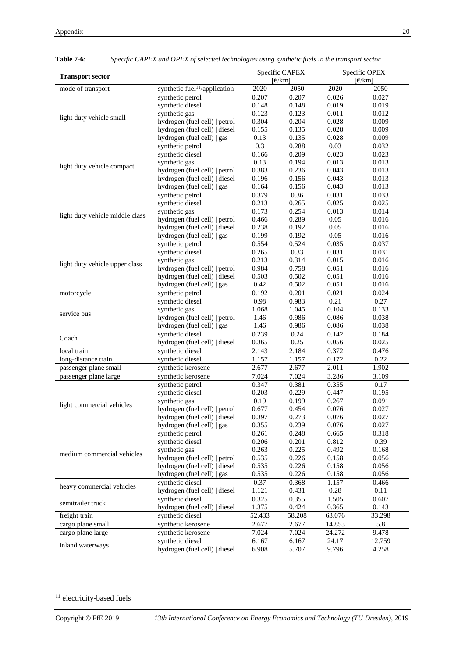| <b>Transport sector</b>         |                                                               |                                             | Specific CAPEX |                                             | Specific OPEX |
|---------------------------------|---------------------------------------------------------------|---------------------------------------------|----------------|---------------------------------------------|---------------|
| mode of transport               | 2020                                                          | $\lceil \frac{\epsilon}{km} \rceil$<br>2050 | 2020           | $\lceil \frac{\epsilon}{km} \rceil$<br>2050 |               |
|                                 | synthetic fuel <sup>11</sup> /application<br>synthetic petrol | 0.207                                       | 0.207          | 0.026                                       | 0.027         |
|                                 | synthetic diesel                                              | 0.148                                       | 0.148          | 0.019                                       | 0.019         |
|                                 | synthetic gas                                                 | 0.123                                       | 0.123          | 0.011                                       | 0.012         |
| light duty vehicle small        | hydrogen (fuel cell)   petrol                                 | 0.304                                       | 0.204          | 0.028                                       | 0.009         |
|                                 | hydrogen (fuel cell)   diesel                                 | 0.155                                       | 0.135          | 0.028                                       | 0.009         |
|                                 | hydrogen (fuel cell)   gas                                    | 0.13                                        | 0.135          | 0.028                                       | 0.009         |
|                                 | synthetic petrol                                              | $\overline{0.3}$                            | 0.288          | 0.03                                        | 0.032         |
|                                 | synthetic diesel                                              | 0.166                                       | 0.209          | 0.023                                       | 0.023         |
|                                 | synthetic gas                                                 | 0.13                                        | 0.194          | 0.013                                       | 0.013         |
| light duty vehicle compact      | hydrogen (fuel cell)   petrol                                 | 0.383                                       | 0.236          | 0.043                                       | 0.013         |
|                                 | hydrogen (fuel cell)   diesel                                 | 0.196                                       | 0.156          | 0.043                                       | 0.013         |
|                                 | hydrogen (fuel cell)   gas                                    | 0.164                                       | 0.156          | 0.043                                       | 0.013         |
|                                 | synthetic petrol                                              | 0.379                                       | 0.36           | 0.031                                       | 0.033         |
|                                 | synthetic diesel                                              | 0.213                                       | 0.265          | 0.025                                       | 0.025         |
|                                 | synthetic gas                                                 | 0.173                                       | 0.254          | 0.013                                       | 0.014         |
| light duty vehicle middle class | hydrogen (fuel cell)   petrol                                 | 0.466                                       | 0.289          | 0.05                                        | 0.016         |
|                                 | hydrogen (fuel cell)   diesel                                 | 0.238                                       | 0.192          | 0.05                                        | 0.016         |
|                                 | hydrogen (fuel cell)   gas                                    | 0.199                                       | 0.192          | 0.05                                        | 0.016         |
|                                 | synthetic petrol                                              | 0.554                                       | 0.524          | 0.035                                       | 0.037         |
|                                 | synthetic diesel                                              | 0.265                                       | 0.33           | 0.031                                       | 0.031         |
| light duty vehicle upper class  | synthetic gas                                                 | 0.213                                       | 0.314          | 0.015                                       | 0.016         |
|                                 | hydrogen (fuel cell)   petrol                                 | 0.984                                       | 0.758          | 0.051                                       | 0.016         |
|                                 | hydrogen (fuel cell)   diesel                                 | 0.503                                       | 0.502          | 0.051                                       | 0.016         |
|                                 | hydrogen (fuel cell)   gas                                    | 0.42                                        | 0.502          | 0.051                                       | 0.016         |
| motorcycle                      | synthetic petrol                                              | 0.192                                       | 0.201          | 0.021                                       | 0.024         |
|                                 | synthetic diesel                                              | 0.98                                        | 0.983          | 0.21                                        | 0.27          |
| service bus                     | synthetic gas                                                 | 1.068                                       | 1.045          | 0.104                                       | 0.133         |
|                                 | hydrogen (fuel cell)   petrol                                 | 1.46                                        | 0.986          | 0.086                                       | 0.038         |
|                                 | hydrogen (fuel cell)   gas                                    | 1.46                                        | 0.986          | 0.086                                       | 0.038         |
| Coach                           | synthetic diesel                                              | 0.239                                       | 0.24           | 0.142                                       | 0.184         |
|                                 | hydrogen (fuel cell)   diesel                                 | 0.365                                       | 0.25           | 0.056                                       | 0.025         |
| local train                     | synthetic diesel                                              | 2.143                                       | 2.184          | 0.372                                       | 0.476         |
| long-distance train             | synthetic diesel                                              | 1.157                                       | 1.157          | 0.172                                       | 0.22          |
| passenger plane small           | synthetic kerosene                                            | 2.677                                       | 2.677          | 2.011                                       | 1.902         |
| passenger plane large           | synthetic kerosene                                            | 7.024                                       | 7.024          | 3.286                                       | 3.109         |
|                                 | synthetic petrol                                              | 0.347                                       | 0.381          | 0.355                                       | 0.17          |
|                                 | synthetic diesel                                              | 0.203                                       | 0.229          | 0.447                                       | 0.195         |
| light commercial vehicles       | synthetic gas                                                 | 0.19                                        | 0.199          | 0.267                                       | 0.091         |
|                                 | hydrogen (fuel cell)   petrol                                 | 0.677                                       | 0.454          | 0.076                                       | 0.027         |
|                                 | hydrogen (fuel cell)   diesel                                 | 0.397                                       | 0.273          | 0.076                                       | 0.027         |
|                                 | hydrogen (fuel cell) $\vert$ gas                              | 0.355                                       | 0.239          | 0.076                                       | 0.027         |
|                                 | synthetic petrol                                              | 0.261                                       | 0.248          | 0.665                                       | 0.318         |
|                                 | synthetic diesel                                              | 0.206                                       | 0.201          | 0.812                                       | 0.39          |
| medium commercial vehicles      | synthetic gas                                                 | 0.263                                       | 0.225          | 0.492                                       | 0.168         |
|                                 | hydrogen (fuel cell)   petrol                                 | 0.535                                       | 0.226          | 0.158                                       | 0.056         |
|                                 | hydrogen (fuel cell)   diesel                                 | 0.535                                       | 0.226          | 0.158                                       | 0.056         |
|                                 | hydrogen (fuel cell)   gas                                    | 0.535                                       | 0.226          | 0.158                                       | 0.056         |
| heavy commercial vehicles       | synthetic diesel                                              | 0.37                                        | 0.368          | 1.157                                       | 0.466         |
|                                 | hydrogen (fuel cell)   diesel                                 | 1.121                                       | 0.431          | 0.28                                        | 0.11          |
| semitrailer truck               | synthetic diesel                                              | 0.325                                       | 0.355          | 1.505                                       | 0.607         |
|                                 | hydrogen (fuel cell)   diesel                                 | 1.375                                       | 0.424          | 0.365                                       | 0.143         |
| freight train                   | synthetic diesel                                              | 52.433                                      | 58.208         | 63.076                                      | 33.298        |
| cargo plane small               | synthetic kerosene                                            | 2.677                                       | 2.677          | 14.853                                      | 5.8           |
| cargo plane large               | synthetic kerosene                                            | 7.024                                       | 7.024          | 24.272                                      | 9.478         |
| inland waterways                | synthetic diesel                                              | 6.167<br>6.908                              | 6.167          | 24.17                                       | 12.759        |
|                                 | hydrogen (fuel cell)   diesel                                 |                                             | 5.707          | 9.796                                       | 4.258         |

**Table 7-6:** *Specific CAPEX and OPEX of selected technologies using synthetic fuels in the transport sector*

<sup>&</sup>lt;sup>11</sup> electricity-based fuels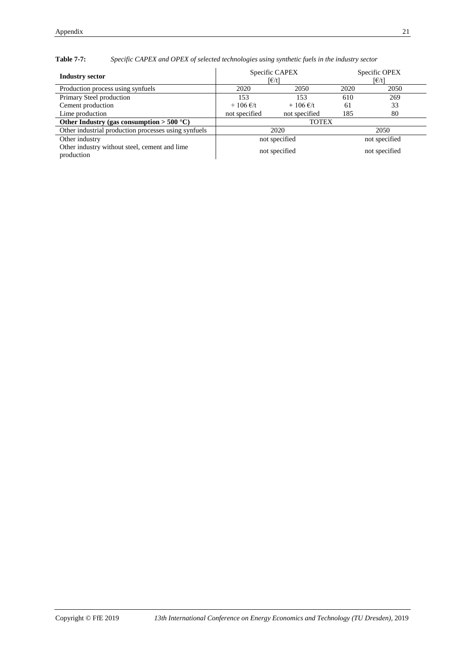| <b>Industry sector</b>                                      | Specific CAPEX<br>FE/t    |                           | Specific OPEX<br>FE/t |               |  |
|-------------------------------------------------------------|---------------------------|---------------------------|-----------------------|---------------|--|
| Production process using synfuels                           | 2050<br>2020              |                           | 2020                  | 2050          |  |
| Primary Steel production                                    | 153                       | 153                       | 610                   | 269           |  |
| Cement production                                           | $+106 \text{ } \infty$ /t | $+106 \text{ } \infty$ /t | 61                    | 33            |  |
| Lime production                                             | not specified             | not specified             | 185                   | 80            |  |
| Other Industry (gas consumption $>$ 500 °C)                 | <b>TOTEX</b>              |                           |                       |               |  |
| Other industrial production processes using synfuels        | 2020                      |                           | 2050                  |               |  |
| Other industry                                              |                           | not specified             | not specified         |               |  |
| Other industry without steel, cement and lime<br>production | not specified             |                           |                       | not specified |  |

**Table 7-7:** *Specific CAPEX and OPEX of selected technologies using synthetic fuels in the industry sector*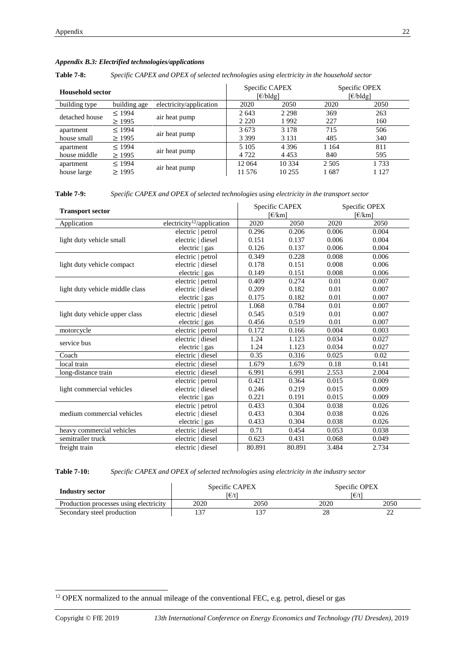# *Appendix B.3: Electrified technologies/applications*

**Table 7-8:** *Specific CAPEX and OPEX of selected technologies using electricity in the household sector*

| Household sector |              | Specific CAPEX<br>$\lceil \frac{\epsilon}{b} \rceil$ |         | Specific OPEX<br>[€/bldg] |         |         |
|------------------|--------------|------------------------------------------------------|---------|---------------------------|---------|---------|
| building type    | building age | electricity/application                              | 2020    | 2050                      | 2020    | 2050    |
| detached house   | < 1994       | air heat pump                                        | 2 6 4 3 | 2 2 9 8                   | 369     | 263     |
|                  | $\geq$ 1995  |                                                      | 2 2 2 0 | 1992                      | 227     | 160     |
| apartment        | < 1994       | air heat pump                                        | 3673    | 3 1 7 8                   | 715     | 506     |
| house small      | >1995        |                                                      | 3 3 9 9 | 3 1 3 1                   | 485     | 340     |
| apartment        | < 1994       | air heat pump                                        | 5 1 0 5 | 4 3 9 6                   | 1 1 6 4 | 811     |
| house middle     | $\geq$ 1995  |                                                      | 4 7 2 2 | 4 4 5 3                   | 840     | 595     |
| apartment        | < 1994       |                                                      | 12 064  | 10 3 34                   | 2 5 0 5 | 1733    |
| house large      | >1995        | air heat pump                                        | 11 576  | 10 255                    | 1687    | 1 1 2 7 |

**Table 7-9:** *Specific CAPEX and OPEX of selected technologies using electricity in the transport sector*

| <b>Transport sector</b>         |                                        |        | Specific CAPEX<br>$E/km$ ] |       | Specific OPEX<br>$E/km$ ] |
|---------------------------------|----------------------------------------|--------|----------------------------|-------|---------------------------|
| Application                     | electricity <sup>12</sup> /application | 2020   | 2050                       | 2020  | 2050                      |
|                                 | electric   petrol                      | 0.296  | 0.206                      | 0.006 | 0.004                     |
| light duty vehicle small        | electric   diesel                      | 0.151  | 0.137                      | 0.006 | 0.004                     |
|                                 | electric   gas                         | 0.126  | 0.137                      | 0.006 | 0.004                     |
|                                 | electric   petrol                      | 0.349  | 0.228                      | 0.008 | 0.006                     |
| light duty vehicle compact      | electric   diesel                      | 0.178  | 0.151                      | 0.008 | 0.006                     |
|                                 | electric   gas                         | 0.149  | 0.151                      | 0.008 | 0.006                     |
|                                 | electric   petrol                      | 0.409  | 0.274                      | 0.01  | 0.007                     |
| light duty vehicle middle class | electric   diesel                      | 0.209  | 0.182                      | 0.01  | 0.007                     |
|                                 | electric $\vert$ gas                   | 0.175  | 0.182                      | 0.01  | 0.007                     |
|                                 | electric   petrol                      | 1.068  | 0.784                      | 0.01  | 0.007                     |
| light duty vehicle upper class  | electric   diesel                      | 0.545  | 0.519                      | 0.01  | 0.007                     |
|                                 | electric   gas                         | 0.456  | 0.519                      | 0.01  | 0.007                     |
| motorcycle                      | electric   petrol                      | 0.172  | 0.166                      | 0.004 | 0.003                     |
| service bus                     | electric   diesel                      | 1.24   | 1.123                      | 0.034 | 0.027                     |
|                                 | electric   gas                         | 1.24   | 1.123                      | 0.034 | 0.027                     |
| Coach                           | electric   diesel                      | 0.35   | 0.316                      | 0.025 | 0.02                      |
| local train                     | electric   diesel                      | 1.679  | 1.679                      | 0.18  | 0.141                     |
| long-distance train             | electric   diesel                      | 6.991  | 6.991                      | 2.553 | 2.004                     |
|                                 | electric   petrol                      | 0.421  | 0.364                      | 0.015 | 0.009                     |
| light commercial vehicles       | electric   diesel                      | 0.246  | 0.219                      | 0.015 | 0.009                     |
|                                 | electric   gas                         | 0.221  | 0.191                      | 0.015 | 0.009                     |
|                                 | electric   petrol                      | 0.433  | 0.304                      | 0.038 | 0.026                     |
| medium commercial vehicles      | electric   diesel                      | 0.433  | 0.304                      | 0.038 | 0.026                     |
|                                 | electric   gas                         | 0.433  | 0.304                      | 0.038 | 0.026                     |
| heavy commercial vehicles       | electric   diesel                      | 0.71   | 0.454                      | 0.053 | 0.038                     |
| semitrailer truck               | electric   diesel                      | 0.623  | 0.431                      | 0.068 | 0.049                     |
| freight train                   | electric   diesel                      | 80.891 | 80.891                     | 3.484 | 2.734                     |

**Table 7-10:** *Specific CAPEX and OPEX of selected technologies using electricity in the industry sector*

| Industry sector                        | Specific CAPEX<br>l€/t |        | Specific OPEX<br>[€/t |      |  |
|----------------------------------------|------------------------|--------|-----------------------|------|--|
| Production processes using electricity | 2020                   | 2050   | 2020                  | 2050 |  |
| Secondary steel production             |                        | $\sim$ | 28                    | ∸    |  |

 $12$  OPEX normalized to the annual mileage of the conventional FEC, e.g. petrol, diesel or gas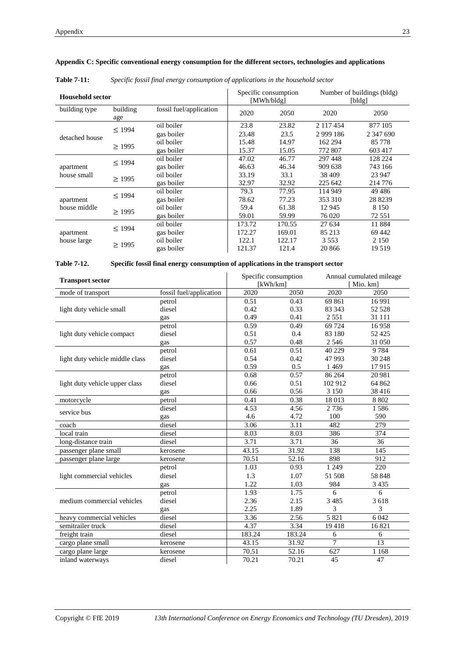| <b>Household sector</b>   |                 | Specific consumption<br>[MWh/bldg] |        | Number of buildings (bldg)<br>[bldg] |             |           |
|---------------------------|-----------------|------------------------------------|--------|--------------------------------------|-------------|-----------|
| building type             | building<br>age | fossil fuel/application            | 2020   | 2050                                 | 2020        | 2050      |
|                           |                 | oil boiler                         | 23.8   | 23.82                                | 2 117 454   | 877 105   |
| detached house            | $\leq$ 1994     | gas boiler                         | 23.48  | 23.5                                 | 2 9 9 1 8 6 | 2 347 690 |
|                           | >1995           | oil boiler                         | 15.48  | 14.97                                | 162 294     | 85778     |
|                           |                 | gas boiler                         | 15.37  | 15.05                                | 772 807     | 603 417   |
| apartment<br>house small  | $\leq$ 1994     | oil boiler                         | 47.02  | 46.77                                | 297 448     | 128 224   |
|                           |                 | gas boiler                         | 46.63  | 46.34                                | 909 638     | 743 166   |
|                           | $\geq$ 1995     | oil boiler                         | 33.19  | 33.1                                 | 38 409      | 23 947    |
|                           |                 | gas boiler                         | 32.97  | 32.92                                | 225 642     | 214 776   |
| apartment<br>house middle |                 | oil boiler                         | 79.3   | 77.95                                | 114 949     | 49486     |
|                           | $\leq$ 1994     | gas boiler                         | 78.62  | 77.23                                | 353 310     | 28 8239   |
|                           |                 | oil boiler                         | 59.4   | 61.38                                | 12 945      | 8 1 5 0   |
|                           | $\geq$ 1995     | gas boiler                         | 59.01  | 59.99                                | 76 020      | 72 551    |
| apartment                 |                 | oil boiler                         | 173.72 | 170.55                               | 27 634      | 11884     |
|                           | $\leq$ 1994     | gas boiler                         | 172.27 | 169.01                               | 85 213      | 69 442    |
| house large               |                 | oil boiler                         | 122.1  | 122.17                               | 3 5 5 3     | 2 1 5 0   |
|                           | $\geq$ 1995     | gas boiler                         | 121.37 | 121.4                                | 20 866      | 19519     |

# **Appendix C: Specific conventional energy consumption for the different sectors, technologies and applications**

# **Table 7-11:** *Specific fossil final energy consumption of applications in the household sector*

## **Table 7-12. Specific fossil final energy consumption of applications in the transport sector**

| <b>Transport sector</b>         |                         | Specific consumption<br>[kWh/km] |        | Annual cumulated mileage<br>[Mio. km] |         |
|---------------------------------|-------------------------|----------------------------------|--------|---------------------------------------|---------|
| mode of transport               | fossil fuel/application | 2020                             | 2050   | 2020                                  | 2050    |
|                                 | petrol                  | 0.51                             | 0.43   | 69 861                                | 16991   |
| light duty vehicle small        | diesel                  | 0.42                             | 0.33   | 83 343                                | 52 5 28 |
|                                 | gas                     | 0.49                             | 0.41   | 2551                                  | 31 111  |
|                                 | petrol                  | 0.59                             | 0.49   | 69 724                                | 16958   |
| light duty vehicle compact      | diesel                  | 0.51                             | 0.4    | 83 180                                | 52 4 25 |
|                                 | gas                     | 0.57                             | 0.48   | 2 5 4 6                               | 31 050  |
|                                 | petrol                  | 0.61                             | 0.51   | 40 229                                | 9784    |
| light duty vehicle middle class | diesel                  | 0.54                             | 0.42   | 47 993                                | 30 248  |
|                                 | gas                     | 0.59                             | 0.5    | 1 4 6 9                               | 17915   |
|                                 | petrol                  | 0.68                             | 0.57   | 86 264                                | 20 981  |
| light duty vehicle upper class  | diesel                  | 0.66                             | 0.51   | 102 912                               | 64 862  |
|                                 | gas                     | 0.66                             | 0.56   | 3 1 5 0                               | 38 4 16 |
| motorcycle                      | petrol                  | 0.41                             | 0.38   | 18 013                                | 8 8 0 2 |
| service bus                     | diesel                  | 4.53                             | 4.56   | 2736                                  | 1586    |
|                                 | gas                     | 4.6                              | 4.72   | 100                                   | 590     |
| coach                           | diesel                  | 3.06                             | 3.11   | 482                                   | 279     |
| local train                     | diesel                  | 8.03                             | 8.03   | 386                                   | 374     |
| long-distance train             | diesel                  | 3.71                             | 3.71   | 36                                    | 36      |
| passenger plane small           | kerosene                | 43.15                            | 31.92  | 138                                   | 145     |
| passenger plane large           | kerosene                | 70.51                            | 52.16  | 898                                   | 912     |
|                                 | petrol                  | 1.03                             | 0.93   | 1 2 4 9                               | 220     |
| light commercial vehicles       | diesel                  | 1.3                              | 1.07   | 51 508                                | 58 848  |
|                                 | gas                     | 1.22                             | 1.03   | 984                                   | 3 4 3 5 |
|                                 | petrol                  | 1.93                             | 1.75   | 6                                     | 6       |
| medium commercial vehicles      | diesel                  | 2.36                             | 2.15   | 3 4 8 5                               | 3618    |
|                                 | gas                     | 2.25                             | 1.89   | 3                                     | 3       |
| heavy commercial vehicles       | diesel                  | 3.36                             | 2.56   | 5 8 2 1                               | 6 0 4 2 |
| semitrailer truck               | diesel                  | 4.37                             | 3.34   | 19418                                 | 16821   |
| freight train                   | diesel                  | 183.24                           | 183.24 | 6                                     | 6       |
| cargo plane small               | kerosene                | 43.15                            | 31.92  | 7                                     | 13      |
| cargo plane large               | kerosene                | 70.51                            | 52.16  | 627                                   | 1 1 6 8 |
| inland waterways                | diesel                  | 70.21                            | 70.21  | 45                                    | 47      |